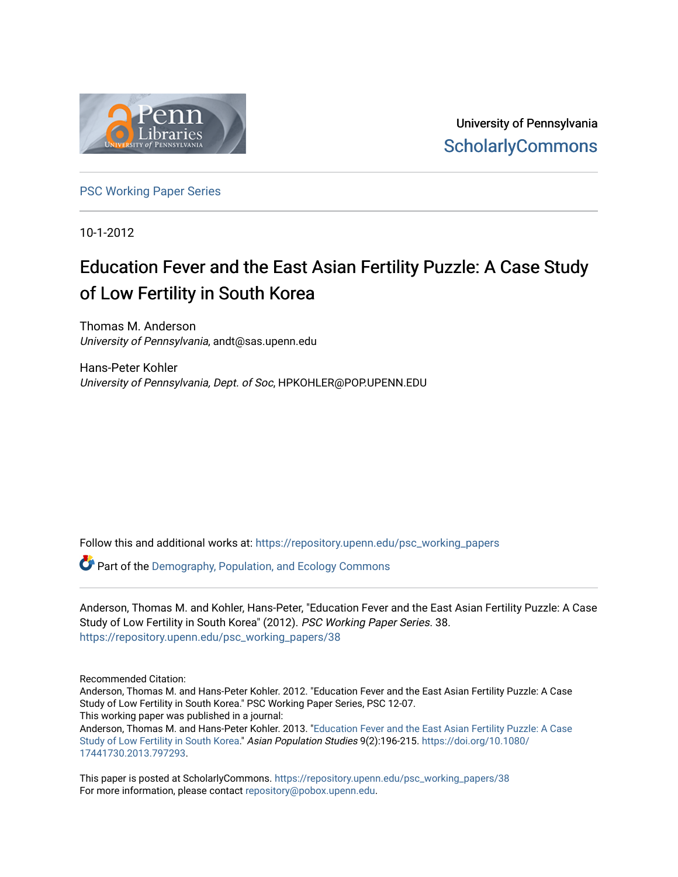

University of Pennsylvania **ScholarlyCommons** 

[PSC Working Paper Series](https://repository.upenn.edu/psc_working_papers) 

10-1-2012

# Education Fever and the East Asian Fertility Puzzle: A Case Study of Low Fertility in South Korea

Thomas M. Anderson University of Pennsylvania, andt@sas.upenn.edu

Hans-Peter Kohler University of Pennsylvania, Dept. of Soc, HPKOHLER@POP.UPENN.EDU

Follow this and additional works at: [https://repository.upenn.edu/psc\\_working\\_papers](https://repository.upenn.edu/psc_working_papers?utm_source=repository.upenn.edu%2Fpsc_working_papers%2F38&utm_medium=PDF&utm_campaign=PDFCoverPages)

Part of the [Demography, Population, and Ecology Commons](http://network.bepress.com/hgg/discipline/418?utm_source=repository.upenn.edu%2Fpsc_working_papers%2F38&utm_medium=PDF&utm_campaign=PDFCoverPages) 

Anderson, Thomas M. and Kohler, Hans-Peter, "Education Fever and the East Asian Fertility Puzzle: A Case Study of Low Fertility in South Korea" (2012). PSC Working Paper Series. 38. [https://repository.upenn.edu/psc\\_working\\_papers/38](https://repository.upenn.edu/psc_working_papers/38?utm_source=repository.upenn.edu%2Fpsc_working_papers%2F38&utm_medium=PDF&utm_campaign=PDFCoverPages) 

Recommended Citation:

Anderson, Thomas M. and Hans-Peter Kohler. 2012. "Education Fever and the East Asian Fertility Puzzle: A Case Study of Low Fertility in South Korea." PSC Working Paper Series, PSC 12-07. This working paper was published in a journal:

Anderson, Thomas M. and Hans-Peter Kohler. 2013. ["Education Fever and the East Asian Fertility Puzzle: A Case](https://doi.org/10.1080/17441730.2013.797293)  [Study of Low Fertility in South Korea](https://doi.org/10.1080/17441730.2013.797293)." Asian Population Studies 9(2):196-215. [https://doi.org/10.1080/](https://doi.org/10.1080/17441730.2013.797293) [17441730.2013.797293.](https://doi.org/10.1080/17441730.2013.797293)

This paper is posted at ScholarlyCommons. [https://repository.upenn.edu/psc\\_working\\_papers/38](https://repository.upenn.edu/psc_working_papers/38) For more information, please contact [repository@pobox.upenn.edu.](mailto:repository@pobox.upenn.edu)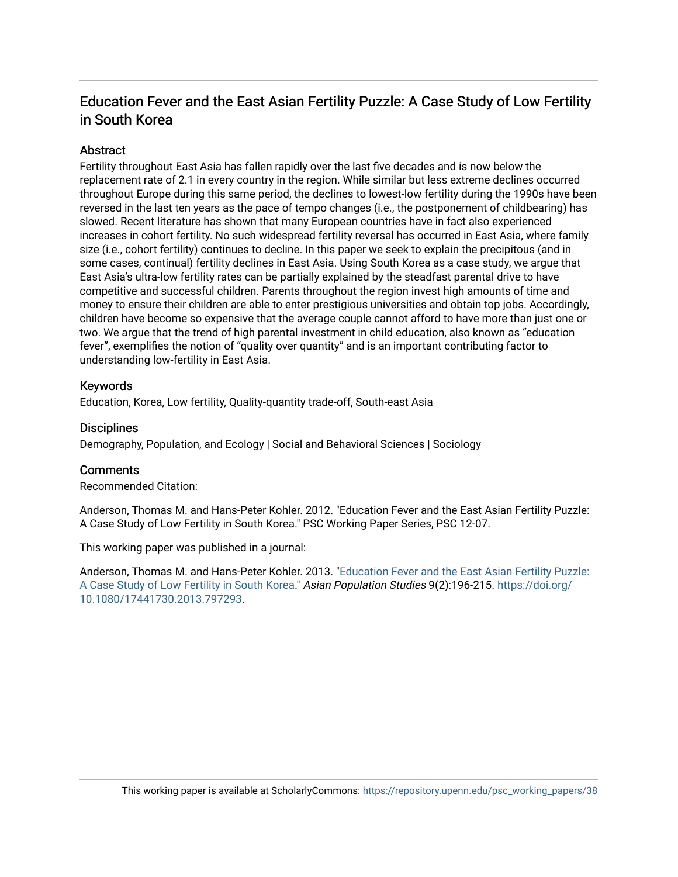# Education Fever and the East Asian Fertility Puzzle: A Case Study of Low Fertility in South Korea

### **Abstract**

Fertility throughout East Asia has fallen rapidly over the last five decades and is now below the replacement rate of 2.1 in every country in the region. While similar but less extreme declines occurred throughout Europe during this same period, the declines to lowest-low fertility during the 1990s have been reversed in the last ten years as the pace of tempo changes (i.e., the postponement of childbearing) has slowed. Recent literature has shown that many European countries have in fact also experienced increases in cohort fertility. No such widespread fertility reversal has occurred in East Asia, where family size (i.e., cohort fertility) continues to decline. In this paper we seek to explain the precipitous (and in some cases, continual) fertility declines in East Asia. Using South Korea as a case study, we argue that East Asia's ultra-low fertility rates can be partially explained by the steadfast parental drive to have competitive and successful children. Parents throughout the region invest high amounts of time and money to ensure their children are able to enter prestigious universities and obtain top jobs. Accordingly, children have become so expensive that the average couple cannot afford to have more than just one or two. We argue that the trend of high parental investment in child education, also known as "education fever", exemplifies the notion of "quality over quantity" and is an important contributing factor to understanding low-fertility in East Asia.

#### Keywords

Education, Korea, Low fertility, Quality-quantity trade-off, South-east Asia

#### **Disciplines**

Demography, Population, and Ecology | Social and Behavioral Sciences | Sociology

### **Comments**

Recommended Citation:

Anderson, Thomas M. and Hans-Peter Kohler. 2012. "Education Fever and the East Asian Fertility Puzzle: A Case Study of Low Fertility in South Korea." PSC Working Paper Series, PSC 12-07.

This working paper was published in a journal:

Anderson, Thomas M. and Hans-Peter Kohler. 2013. "[Education Fever and the East Asian Fertility Puzzle:](https://doi.org/10.1080/17441730.2013.797293)  [A Case Study of Low Fertility in South Korea](https://doi.org/10.1080/17441730.2013.797293)." Asian Population Studies 9(2):196-215. [https://doi.org/](https://doi.org/10.1080/17441730.2013.797293) [10.1080/17441730.2013.797293.](https://doi.org/10.1080/17441730.2013.797293)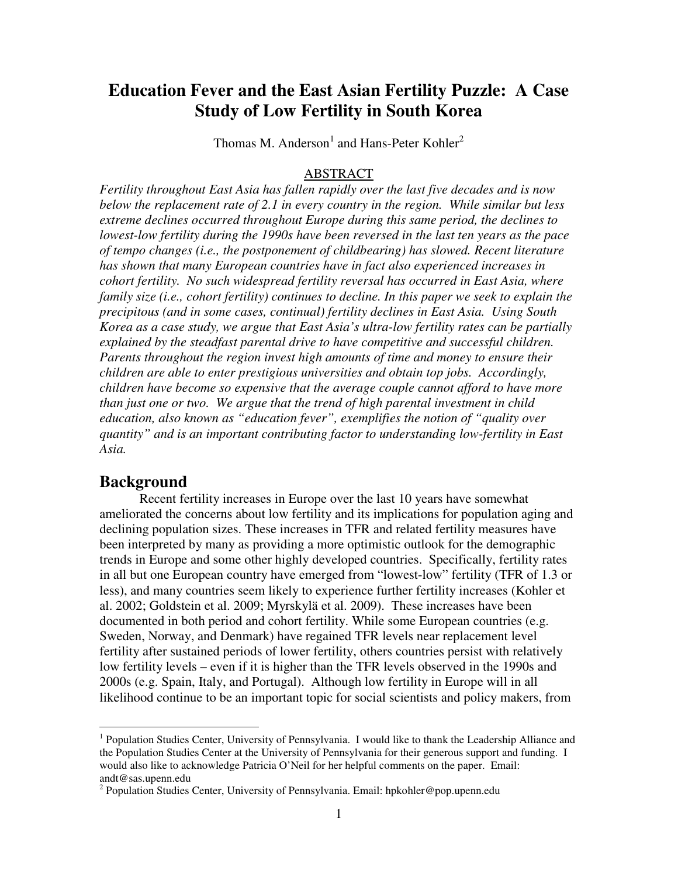# **Education Fever and the East Asian Fertility Puzzle: A Case Study of Low Fertility in South Korea**

Thomas M. Anderson<sup>1</sup> and Hans-Peter Kohler<sup>2</sup>

#### ABSTRACT

*Fertility throughout East Asia has fallen rapidly over the last five decades and is now below the replacement rate of 2.1 in every country in the region. While similar but less extreme declines occurred throughout Europe during this same period, the declines to lowest-low fertility during the 1990s have been reversed in the last ten years as the pace of tempo changes (i.e., the postponement of childbearing) has slowed. Recent literature has shown that many European countries have in fact also experienced increases in cohort fertility. No such widespread fertility reversal has occurred in East Asia, where family size (i.e., cohort fertility) continues to decline. In this paper we seek to explain the precipitous (and in some cases, continual) fertility declines in East Asia. Using South Korea as a case study, we argue that East Asia's ultra-low fertility rates can be partially explained by the steadfast parental drive to have competitive and successful children. Parents throughout the region invest high amounts of time and money to ensure their children are able to enter prestigious universities and obtain top jobs. Accordingly, children have become so expensive that the average couple cannot afford to have more than just one or two. We argue that the trend of high parental investment in child education, also known as "education fever", exemplifies the notion of "quality over quantity" and is an important contributing factor to understanding low-fertility in East Asia.* 

## **Background**

Recent fertility increases in Europe over the last 10 years have somewhat ameliorated the concerns about low fertility and its implications for population aging and declining population sizes. These increases in TFR and related fertility measures have been interpreted by many as providing a more optimistic outlook for the demographic trends in Europe and some other highly developed countries. Specifically, fertility rates in all but one European country have emerged from "lowest-low" fertility (TFR of 1.3 or less), and many countries seem likely to experience further fertility increases (Kohler et al. 2002; Goldstein et al. 2009; Myrskylä et al. 2009). These increases have been documented in both period and cohort fertility. While some European countries (e.g. Sweden, Norway, and Denmark) have regained TFR levels near replacement level fertility after sustained periods of lower fertility, others countries persist with relatively low fertility levels – even if it is higher than the TFR levels observed in the 1990s and 2000s (e.g. Spain, Italy, and Portugal). Although low fertility in Europe will in all likelihood continue to be an important topic for social scientists and policy makers, from

<sup>1&</sup>lt;br><sup>1</sup> Population Studies Center, University of Pennsylvania. I would like to thank the Leadership Alliance and the Population Studies Center at the University of Pennsylvania for their generous support and funding. I would also like to acknowledge Patricia O'Neil for her helpful comments on the paper. Email: andt@sas.upenn.edu

<sup>&</sup>lt;sup>2</sup> Population Studies Center, University of Pennsylvania. Email: hpkohler@pop.upenn.edu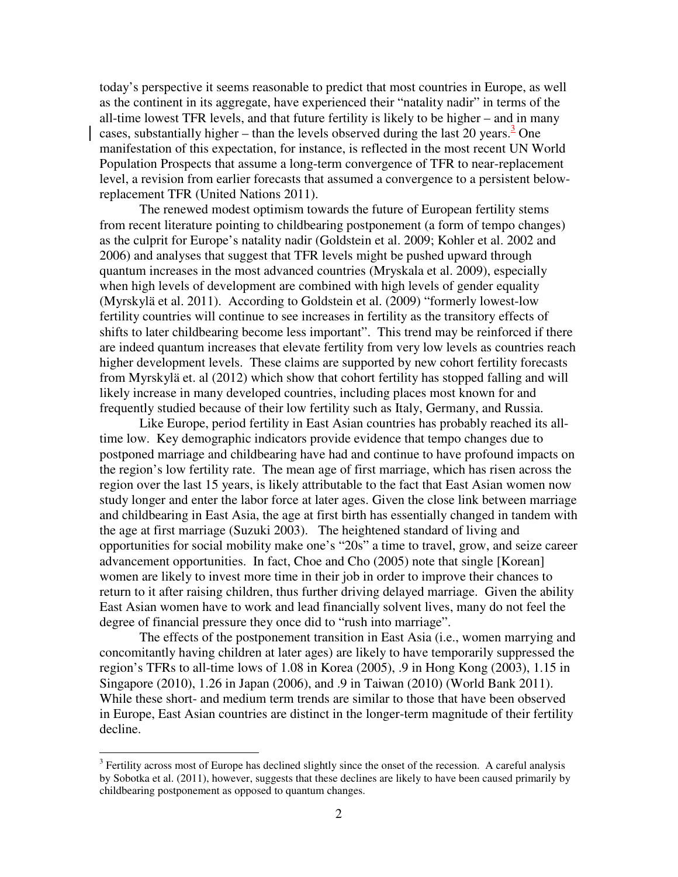today's perspective it seems reasonable to predict that most countries in Europe, as well as the continent in its aggregate, have experienced their "natality nadir" in terms of the all-time lowest TFR levels, and that future fertility is likely to be higher – and in many cases, substantially higher – than the levels observed during the last 20 years.<sup>3</sup> One manifestation of this expectation, for instance, is reflected in the most recent UN World Population Prospects that assume a long-term convergence of TFR to near-replacement level, a revision from earlier forecasts that assumed a convergence to a persistent belowreplacement TFR (United Nations 2011).

 The renewed modest optimism towards the future of European fertility stems from recent literature pointing to childbearing postponement (a form of tempo changes) as the culprit for Europe's natality nadir (Goldstein et al. 2009; Kohler et al. 2002 and 2006) and analyses that suggest that TFR levels might be pushed upward through quantum increases in the most advanced countries (Mryskala et al. 2009), especially when high levels of development are combined with high levels of gender equality (Myrskylä et al. 2011). According to Goldstein et al. (2009) "formerly lowest-low fertility countries will continue to see increases in fertility as the transitory effects of shifts to later childbearing become less important". This trend may be reinforced if there are indeed quantum increases that elevate fertility from very low levels as countries reach higher development levels. These claims are supported by new cohort fertility forecasts from Myrskylä et. al (2012) which show that cohort fertility has stopped falling and will likely increase in many developed countries, including places most known for and frequently studied because of their low fertility such as Italy, Germany, and Russia.

Like Europe, period fertility in East Asian countries has probably reached its alltime low. Key demographic indicators provide evidence that tempo changes due to postponed marriage and childbearing have had and continue to have profound impacts on the region's low fertility rate. The mean age of first marriage, which has risen across the region over the last 15 years, is likely attributable to the fact that East Asian women now study longer and enter the labor force at later ages. Given the close link between marriage and childbearing in East Asia, the age at first birth has essentially changed in tandem with the age at first marriage (Suzuki 2003). The heightened standard of living and opportunities for social mobility make one's "20s" a time to travel, grow, and seize career advancement opportunities. In fact, Choe and Cho (2005) note that single [Korean] women are likely to invest more time in their job in order to improve their chances to return to it after raising children, thus further driving delayed marriage. Given the ability East Asian women have to work and lead financially solvent lives, many do not feel the degree of financial pressure they once did to "rush into marriage".

The effects of the postponement transition in East Asia (i.e., women marrying and concomitantly having children at later ages) are likely to have temporarily suppressed the region's TFRs to all-time lows of 1.08 in Korea (2005), .9 in Hong Kong (2003), 1.15 in Singapore (2010), 1.26 in Japan (2006), and .9 in Taiwan (2010) (World Bank 2011). While these short- and medium term trends are similar to those that have been observed in Europe, East Asian countries are distinct in the longer-term magnitude of their fertility decline.

 $\overline{a}$ 

<sup>&</sup>lt;sup>3</sup> Fertility across most of Europe has declined slightly since the onset of the recession. A careful analysis by Sobotka et al. (2011), however, suggests that these declines are likely to have been caused primarily by childbearing postponement as opposed to quantum changes.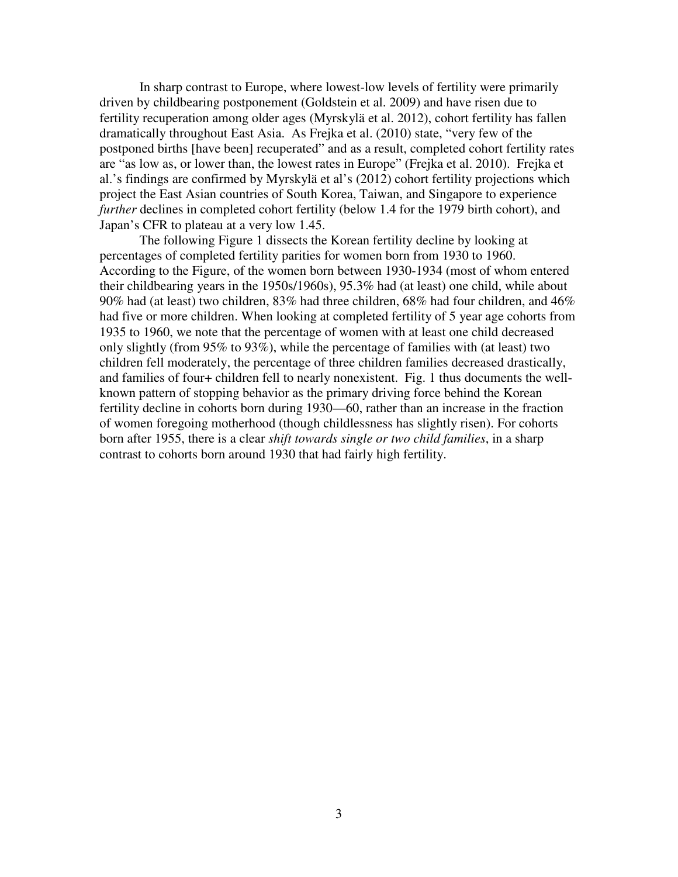In sharp contrast to Europe, where lowest-low levels of fertility were primarily driven by childbearing postponement (Goldstein et al. 2009) and have risen due to fertility recuperation among older ages (Myrskylä et al. 2012), cohort fertility has fallen dramatically throughout East Asia. As Frejka et al. (2010) state, "very few of the postponed births [have been] recuperated" and as a result, completed cohort fertility rates are "as low as, or lower than, the lowest rates in Europe" (Frejka et al. 2010). Frejka et al.'s findings are confirmed by Myrskylä et al's (2012) cohort fertility projections which project the East Asian countries of South Korea, Taiwan, and Singapore to experience *further* declines in completed cohort fertility (below 1.4 for the 1979 birth cohort), and Japan's CFR to plateau at a very low 1.45.

The following Figure 1 dissects the Korean fertility decline by looking at percentages of completed fertility parities for women born from 1930 to 1960. According to the Figure, of the women born between 1930-1934 (most of whom entered their childbearing years in the 1950s/1960s), 95.3% had (at least) one child, while about 90% had (at least) two children, 83% had three children, 68% had four children, and 46% had five or more children. When looking at completed fertility of 5 year age cohorts from 1935 to 1960, we note that the percentage of women with at least one child decreased only slightly (from 95% to 93%), while the percentage of families with (at least) two children fell moderately, the percentage of three children families decreased drastically, and families of four+ children fell to nearly nonexistent. Fig. 1 thus documents the wellknown pattern of stopping behavior as the primary driving force behind the Korean fertility decline in cohorts born during 1930—60, rather than an increase in the fraction of women foregoing motherhood (though childlessness has slightly risen). For cohorts born after 1955, there is a clear *shift towards single or two child families*, in a sharp contrast to cohorts born around 1930 that had fairly high fertility.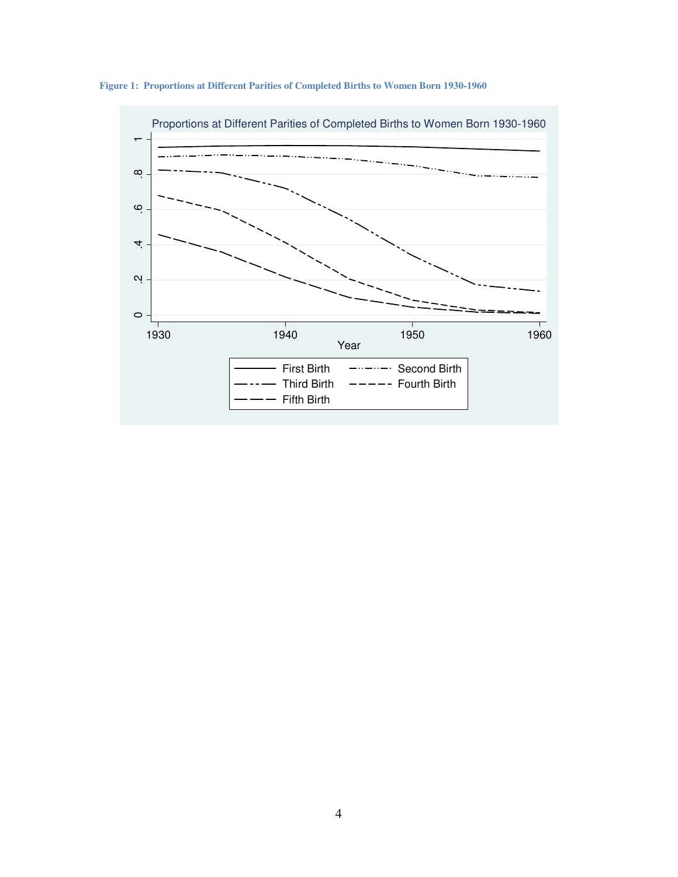

**Figure 1: Proportions at Different Parities of Completed Births to Women Born 1930-1960**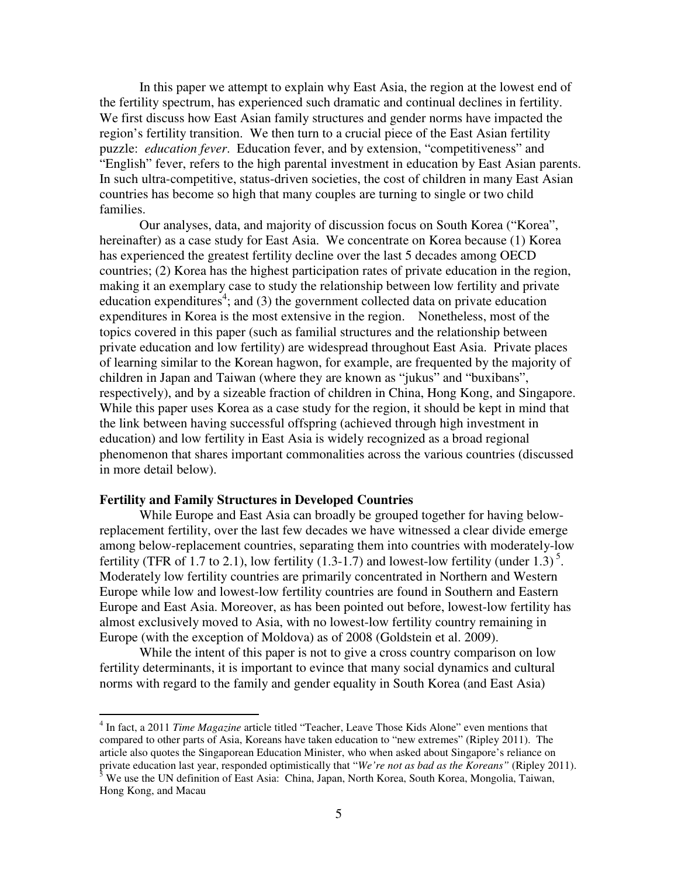In this paper we attempt to explain why East Asia, the region at the lowest end of the fertility spectrum, has experienced such dramatic and continual declines in fertility. We first discuss how East Asian family structures and gender norms have impacted the region's fertility transition. We then turn to a crucial piece of the East Asian fertility puzzle: *education fever*. Education fever, and by extension, "competitiveness" and "English" fever, refers to the high parental investment in education by East Asian parents. In such ultra-competitive, status-driven societies, the cost of children in many East Asian countries has become so high that many couples are turning to single or two child families.

Our analyses, data, and majority of discussion focus on South Korea ("Korea", hereinafter) as a case study for East Asia. We concentrate on Korea because (1) Korea has experienced the greatest fertility decline over the last 5 decades among OECD countries; (2) Korea has the highest participation rates of private education in the region, making it an exemplary case to study the relationship between low fertility and private education expenditures<sup>4</sup>; and (3) the government collected data on private education expenditures in Korea is the most extensive in the region. Nonetheless, most of the topics covered in this paper (such as familial structures and the relationship between private education and low fertility) are widespread throughout East Asia. Private places of learning similar to the Korean hagwon, for example, are frequented by the majority of children in Japan and Taiwan (where they are known as "jukus" and "buxibans", respectively), and by a sizeable fraction of children in China, Hong Kong, and Singapore. While this paper uses Korea as a case study for the region, it should be kept in mind that the link between having successful offspring (achieved through high investment in education) and low fertility in East Asia is widely recognized as a broad regional phenomenon that shares important commonalities across the various countries (discussed in more detail below).

#### **Fertility and Family Structures in Developed Countries**

 $\overline{a}$ 

While Europe and East Asia can broadly be grouped together for having belowreplacement fertility, over the last few decades we have witnessed a clear divide emerge among below-replacement countries, separating them into countries with moderately-low fertility (TFR of 1.7 to 2.1), low fertility (1.3-1.7) and lowest-low fertility (under 1.3)<sup>5</sup>. Moderately low fertility countries are primarily concentrated in Northern and Western Europe while low and lowest-low fertility countries are found in Southern and Eastern Europe and East Asia. Moreover, as has been pointed out before, lowest-low fertility has almost exclusively moved to Asia, with no lowest-low fertility country remaining in Europe (with the exception of Moldova) as of 2008 (Goldstein et al. 2009).

While the intent of this paper is not to give a cross country comparison on low fertility determinants, it is important to evince that many social dynamics and cultural norms with regard to the family and gender equality in South Korea (and East Asia)

<sup>&</sup>lt;sup>4</sup> In fact, a 2011 *Time Magazine* article titled "Teacher, Leave Those Kids Alone" even mentions that compared to other parts of Asia, Koreans have taken education to "new extremes" (Ripley 2011). The article also quotes the Singaporean Education Minister, who when asked about Singapore's reliance on private education last year, responded optimistically that "*We're not as bad as the Koreans*" (Ripley 2011).<br><sup>5</sup> We use the UN definition of East Asia: China, Japan, North Korea, South Korea, Mongolia, Taiwan,

Hong Kong, and Macau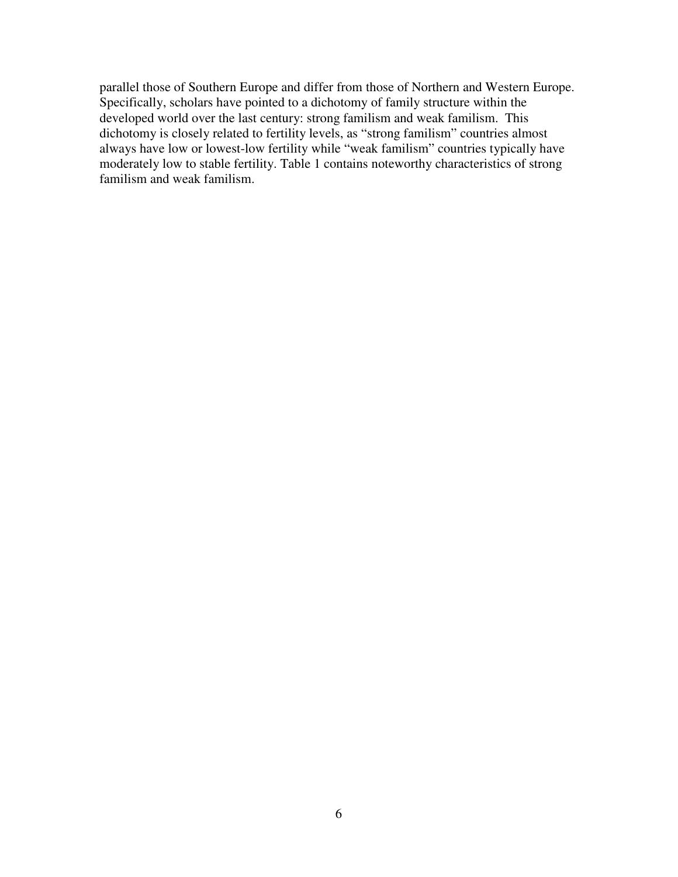parallel those of Southern Europe and differ from those of Northern and Western Europe. Specifically, scholars have pointed to a dichotomy of family structure within the developed world over the last century: strong familism and weak familism. This dichotomy is closely related to fertility levels, as "strong familism" countries almost always have low or lowest-low fertility while "weak familism" countries typically have moderately low to stable fertility. Table 1 contains noteworthy characteristics of strong familism and weak familism.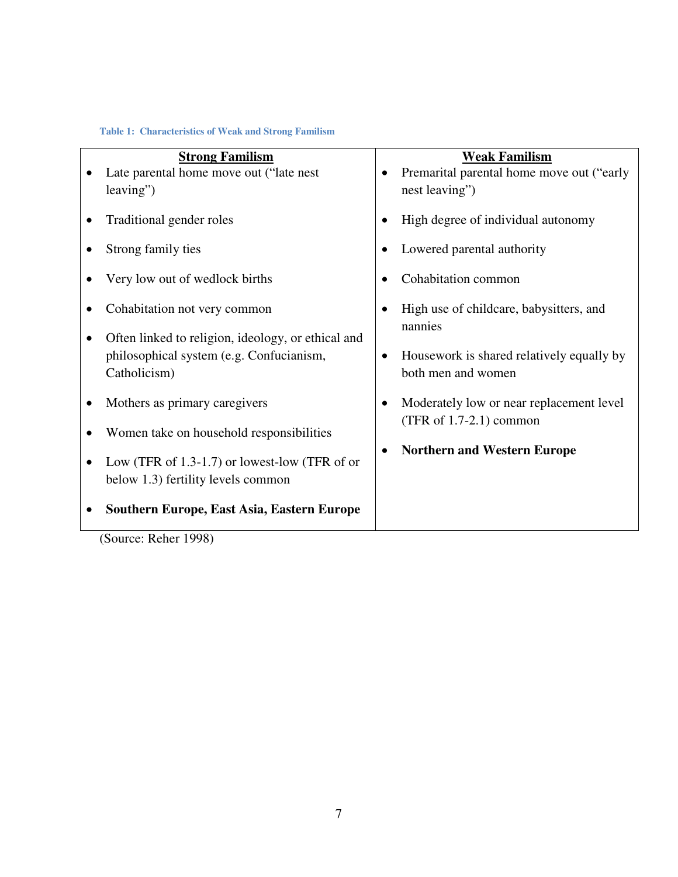#### **Table 1: Characteristics of Weak and Strong Familism**

| Late parental home move out ("late nest"<br>Premarital parental home move out ("early"<br>nest leaving")<br>leaving")<br>Traditional gender roles<br>High degree of individual autonomy<br>Strong family ties<br>Lowered parental authority<br>Very low out of wedlock births<br>Cohabitation common<br>High use of childcare, babysitters, and<br>Cohabitation not very common<br>nannies<br>Often linked to religion, ideology, or ethical and<br>philosophical system (e.g. Confucianism,<br>Housework is shared relatively equally by<br>Catholicism)<br>both men and women<br>Mothers as primary caregivers<br>Moderately low or near replacement level<br>$(TFR of 1.7-2.1)$ common<br>Women take on household responsibilities<br><b>Northern and Western Europe</b><br>$\bullet$<br>Low (TFR of $1.3-1.7$ ) or lowest-low (TFR of or<br>below 1.3) fertility levels common<br>Southern Europe, East Asia, Eastern Europe<br>$\bullet$ | <b>Strong Familism</b> | <b>Weak Familism</b> |
|-----------------------------------------------------------------------------------------------------------------------------------------------------------------------------------------------------------------------------------------------------------------------------------------------------------------------------------------------------------------------------------------------------------------------------------------------------------------------------------------------------------------------------------------------------------------------------------------------------------------------------------------------------------------------------------------------------------------------------------------------------------------------------------------------------------------------------------------------------------------------------------------------------------------------------------------------|------------------------|----------------------|
|                                                                                                                                                                                                                                                                                                                                                                                                                                                                                                                                                                                                                                                                                                                                                                                                                                                                                                                                               |                        |                      |
|                                                                                                                                                                                                                                                                                                                                                                                                                                                                                                                                                                                                                                                                                                                                                                                                                                                                                                                                               |                        |                      |
|                                                                                                                                                                                                                                                                                                                                                                                                                                                                                                                                                                                                                                                                                                                                                                                                                                                                                                                                               |                        |                      |
|                                                                                                                                                                                                                                                                                                                                                                                                                                                                                                                                                                                                                                                                                                                                                                                                                                                                                                                                               |                        |                      |
|                                                                                                                                                                                                                                                                                                                                                                                                                                                                                                                                                                                                                                                                                                                                                                                                                                                                                                                                               |                        |                      |
|                                                                                                                                                                                                                                                                                                                                                                                                                                                                                                                                                                                                                                                                                                                                                                                                                                                                                                                                               |                        |                      |
|                                                                                                                                                                                                                                                                                                                                                                                                                                                                                                                                                                                                                                                                                                                                                                                                                                                                                                                                               |                        |                      |
|                                                                                                                                                                                                                                                                                                                                                                                                                                                                                                                                                                                                                                                                                                                                                                                                                                                                                                                                               |                        |                      |
|                                                                                                                                                                                                                                                                                                                                                                                                                                                                                                                                                                                                                                                                                                                                                                                                                                                                                                                                               |                        |                      |
|                                                                                                                                                                                                                                                                                                                                                                                                                                                                                                                                                                                                                                                                                                                                                                                                                                                                                                                                               |                        |                      |

(Source: Reher 1998)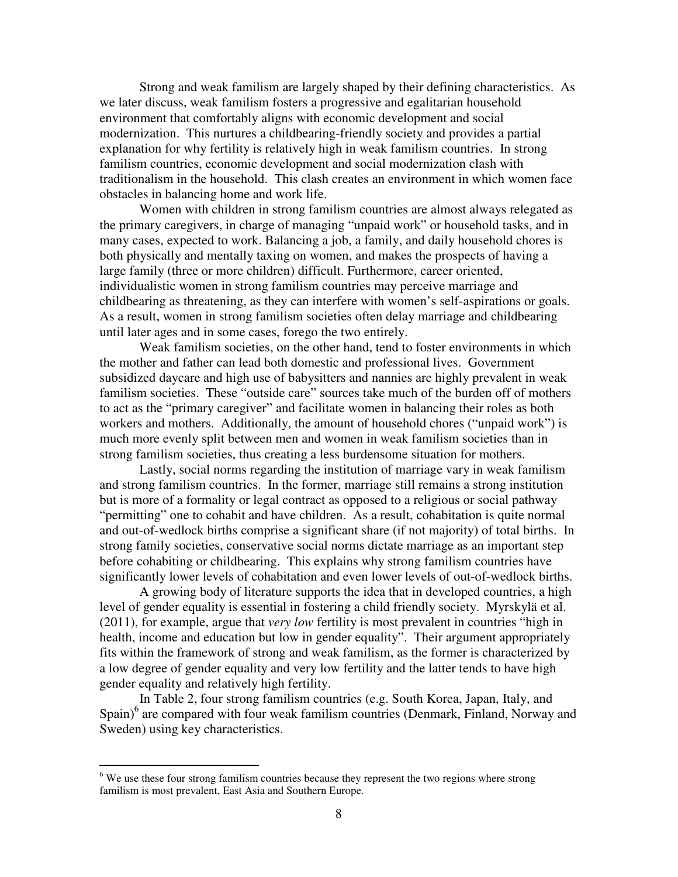Strong and weak familism are largely shaped by their defining characteristics. As we later discuss, weak familism fosters a progressive and egalitarian household environment that comfortably aligns with economic development and social modernization. This nurtures a childbearing-friendly society and provides a partial explanation for why fertility is relatively high in weak familism countries. In strong familism countries, economic development and social modernization clash with traditionalism in the household. This clash creates an environment in which women face obstacles in balancing home and work life.

Women with children in strong familism countries are almost always relegated as the primary caregivers, in charge of managing "unpaid work" or household tasks, and in many cases, expected to work. Balancing a job, a family, and daily household chores is both physically and mentally taxing on women, and makes the prospects of having a large family (three or more children) difficult. Furthermore, career oriented, individualistic women in strong familism countries may perceive marriage and childbearing as threatening, as they can interfere with women's self-aspirations or goals. As a result, women in strong familism societies often delay marriage and childbearing until later ages and in some cases, forego the two entirely.

 Weak familism societies, on the other hand, tend to foster environments in which the mother and father can lead both domestic and professional lives. Government subsidized daycare and high use of babysitters and nannies are highly prevalent in weak familism societies. These "outside care" sources take much of the burden off of mothers to act as the "primary caregiver" and facilitate women in balancing their roles as both workers and mothers. Additionally, the amount of household chores ("unpaid work") is much more evenly split between men and women in weak familism societies than in strong familism societies, thus creating a less burdensome situation for mothers.

 Lastly, social norms regarding the institution of marriage vary in weak familism and strong familism countries. In the former, marriage still remains a strong institution but is more of a formality or legal contract as opposed to a religious or social pathway "permitting" one to cohabit and have children. As a result, cohabitation is quite normal and out-of-wedlock births comprise a significant share (if not majority) of total births. In strong family societies, conservative social norms dictate marriage as an important step before cohabiting or childbearing. This explains why strong familism countries have significantly lower levels of cohabitation and even lower levels of out-of-wedlock births.

 A growing body of literature supports the idea that in developed countries, a high level of gender equality is essential in fostering a child friendly society. Myrskylä et al. (2011), for example, argue that *very low* fertility is most prevalent in countries "high in health, income and education but low in gender equality". Their argument appropriately fits within the framework of strong and weak familism, as the former is characterized by a low degree of gender equality and very low fertility and the latter tends to have high gender equality and relatively high fertility.

 In Table 2, four strong familism countries (e.g. South Korea, Japan, Italy, and Spain)<sup>6</sup> are compared with four weak familism countries (Denmark, Finland, Norway and Sweden) using key characteristics.

<sup>&</sup>lt;sup>6</sup> We use these four strong familism countries because they represent the two regions where strong familism is most prevalent, East Asia and Southern Europe.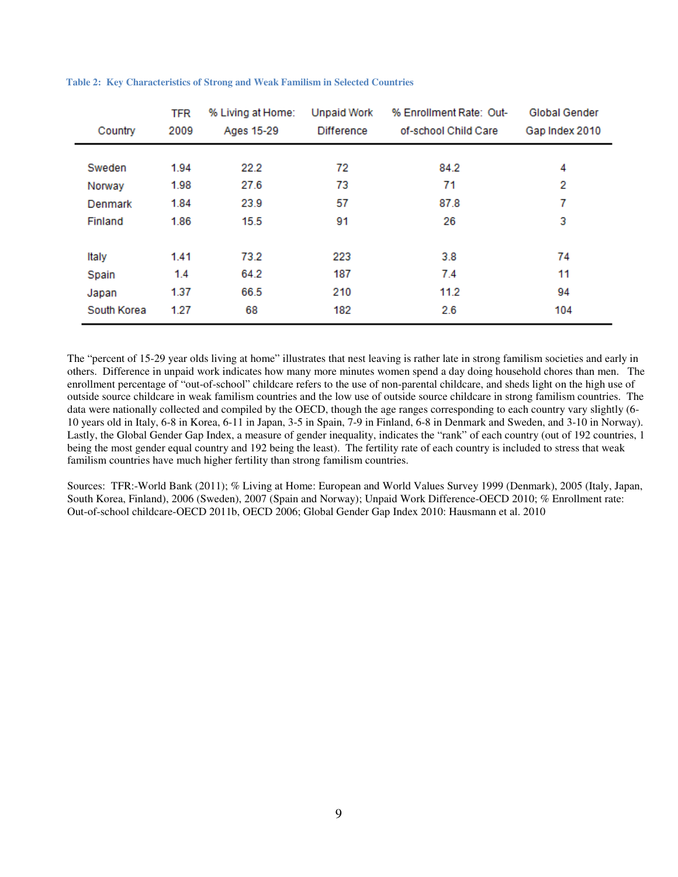|             | TFR  | % Living at Home: | Unpaid Work | % Enrollment Rate: Out- | <b>Global Gender</b> |
|-------------|------|-------------------|-------------|-------------------------|----------------------|
| Country     | 2009 | Ages 15-29        | Difference  | of-school Child Care    | Gap Index 2010       |
| Sweden      | 1.94 | 22.2              | 72          | 84.2                    | 4                    |
| Norway      | 1.98 | 27.6              | 73          | 71                      | 2                    |
| Denmark     | 1.84 | 23.9              | 57          | 87.8                    | 7                    |
| Finland     | 1.86 | 15.5              | 91          | 26                      | 3                    |
| Italy       | 1.41 | 73.2              | 223         | 3.8                     | 74                   |
| Spain       | 1.4  | 64.2              | 187         | 7.4                     | 11                   |
| Japan       | 1.37 | 66.5              | 210         | 11.2                    | 94                   |
| South Korea | 1.27 | 68                | 182         | 2.6                     | 104                  |

#### **Table 2: Key Characteristics of Strong and Weak Familism in Selected Countries**

The "percent of 15-29 year olds living at home" illustrates that nest leaving is rather late in strong familism societies and early in others. Difference in unpaid work indicates how many more minutes women spend a day doing household chores than men. The enrollment percentage of "out-of-school" childcare refers to the use of non-parental childcare, and sheds light on the high use of outside source childcare in weak familism countries and the low use of outside source childcare in strong familism countries. The data were nationally collected and compiled by the OECD, though the age ranges corresponding to each country vary slightly (6- 10 years old in Italy, 6-8 in Korea, 6-11 in Japan, 3-5 in Spain, 7-9 in Finland, 6-8 in Denmark and Sweden, and 3-10 in Norway). Lastly, the Global Gender Gap Index, a measure of gender inequality, indicates the "rank" of each country (out of 192 countries, 1) being the most gender equal country and 192 being the least). The fertility rate of each country is included to stress that weak familism countries have much higher fertility than strong familism countries.

Sources: TFR:-World Bank (2011); % Living at Home: European and World Values Survey 1999 (Denmark), 2005 (Italy, Japan, South Korea, Finland), 2006 (Sweden), 2007 (Spain and Norway); Unpaid Work Difference-OECD 2010; % Enrollment rate: Out-of-school childcare-OECD 2011b, OECD 2006; Global Gender Gap Index 2010: Hausmann et al. 2010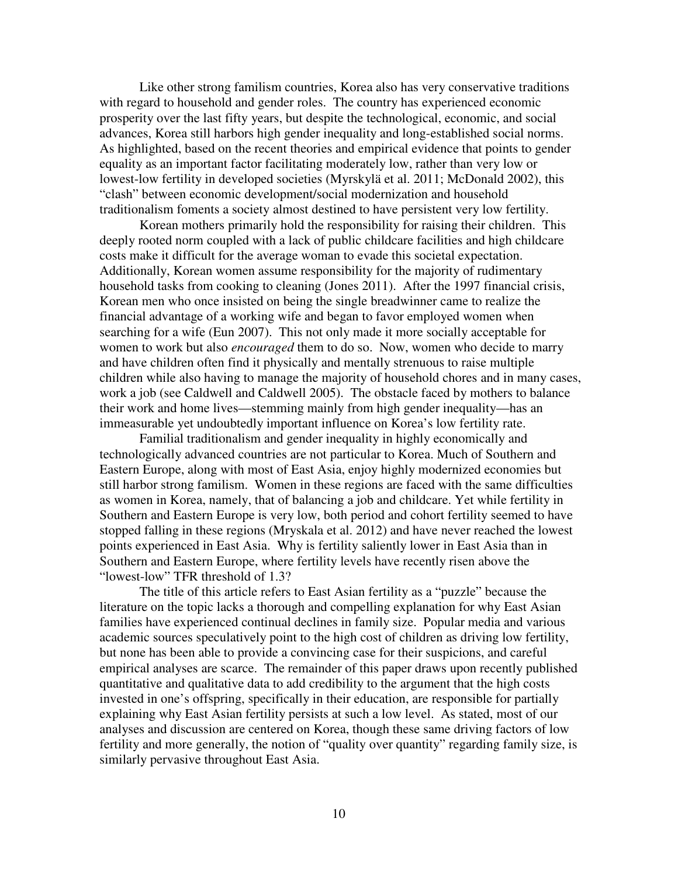Like other strong familism countries, Korea also has very conservative traditions with regard to household and gender roles. The country has experienced economic prosperity over the last fifty years, but despite the technological, economic, and social advances, Korea still harbors high gender inequality and long-established social norms. As highlighted, based on the recent theories and empirical evidence that points to gender equality as an important factor facilitating moderately low, rather than very low or lowest-low fertility in developed societies (Myrskylä et al. 2011; McDonald 2002), this "clash" between economic development/social modernization and household traditionalism foments a society almost destined to have persistent very low fertility.

Korean mothers primarily hold the responsibility for raising their children. This deeply rooted norm coupled with a lack of public childcare facilities and high childcare costs make it difficult for the average woman to evade this societal expectation. Additionally, Korean women assume responsibility for the majority of rudimentary household tasks from cooking to cleaning (Jones 2011). After the 1997 financial crisis, Korean men who once insisted on being the single breadwinner came to realize the financial advantage of a working wife and began to favor employed women when searching for a wife (Eun 2007). This not only made it more socially acceptable for women to work but also *encouraged* them to do so. Now, women who decide to marry and have children often find it physically and mentally strenuous to raise multiple children while also having to manage the majority of household chores and in many cases, work a job (see Caldwell and Caldwell 2005). The obstacle faced by mothers to balance their work and home lives—stemming mainly from high gender inequality—has an immeasurable yet undoubtedly important influence on Korea's low fertility rate.

 Familial traditionalism and gender inequality in highly economically and technologically advanced countries are not particular to Korea. Much of Southern and Eastern Europe, along with most of East Asia, enjoy highly modernized economies but still harbor strong familism. Women in these regions are faced with the same difficulties as women in Korea, namely, that of balancing a job and childcare. Yet while fertility in Southern and Eastern Europe is very low, both period and cohort fertility seemed to have stopped falling in these regions (Mryskala et al. 2012) and have never reached the lowest points experienced in East Asia. Why is fertility saliently lower in East Asia than in Southern and Eastern Europe, where fertility levels have recently risen above the "lowest-low" TFR threshold of 1.3?

The title of this article refers to East Asian fertility as a "puzzle" because the literature on the topic lacks a thorough and compelling explanation for why East Asian families have experienced continual declines in family size. Popular media and various academic sources speculatively point to the high cost of children as driving low fertility, but none has been able to provide a convincing case for their suspicions, and careful empirical analyses are scarce. The remainder of this paper draws upon recently published quantitative and qualitative data to add credibility to the argument that the high costs invested in one's offspring, specifically in their education, are responsible for partially explaining why East Asian fertility persists at such a low level. As stated, most of our analyses and discussion are centered on Korea, though these same driving factors of low fertility and more generally, the notion of "quality over quantity" regarding family size, is similarly pervasive throughout East Asia.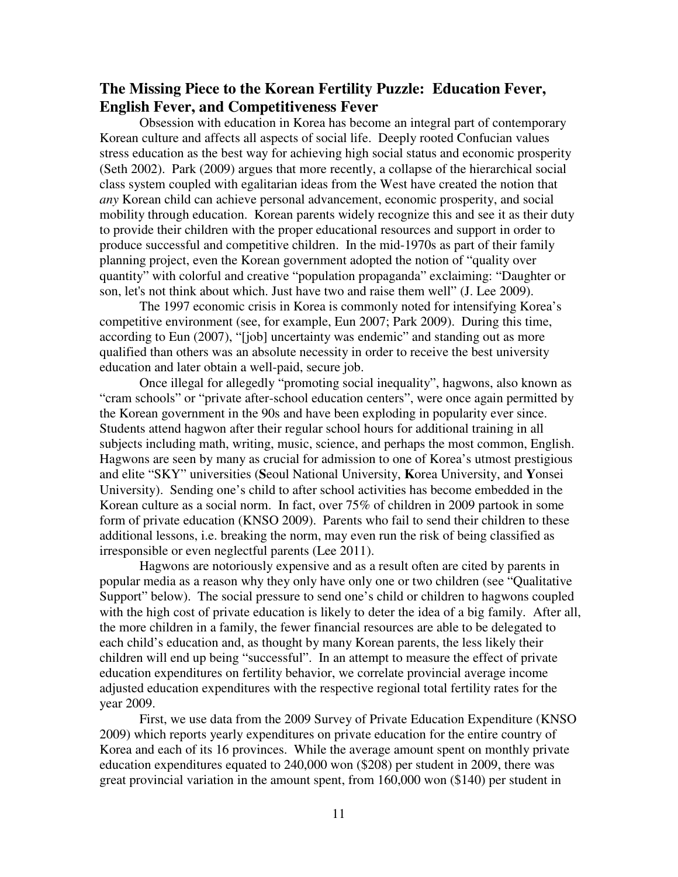# **The Missing Piece to the Korean Fertility Puzzle: Education Fever, English Fever, and Competitiveness Fever**

Obsession with education in Korea has become an integral part of contemporary Korean culture and affects all aspects of social life. Deeply rooted Confucian values stress education as the best way for achieving high social status and economic prosperity (Seth 2002). Park (2009) argues that more recently, a collapse of the hierarchical social class system coupled with egalitarian ideas from the West have created the notion that *any* Korean child can achieve personal advancement, economic prosperity, and social mobility through education. Korean parents widely recognize this and see it as their duty to provide their children with the proper educational resources and support in order to produce successful and competitive children. In the mid-1970s as part of their family planning project, even the Korean government adopted the notion of "quality over quantity" with colorful and creative "population propaganda" exclaiming: "Daughter or son, let's not think about which. Just have two and raise them well" (J. Lee 2009).

 The 1997 economic crisis in Korea is commonly noted for intensifying Korea's competitive environment (see, for example, Eun 2007; Park 2009). During this time, according to Eun (2007), "[job] uncertainty was endemic" and standing out as more qualified than others was an absolute necessity in order to receive the best university education and later obtain a well-paid, secure job.

Once illegal for allegedly "promoting social inequality", hagwons, also known as "cram schools" or "private after-school education centers", were once again permitted by the Korean government in the 90s and have been exploding in popularity ever since. Students attend hagwon after their regular school hours for additional training in all subjects including math, writing, music, science, and perhaps the most common, English. Hagwons are seen by many as crucial for admission to one of Korea's utmost prestigious and elite "SKY" universities (**S**eoul National University, **K**orea University, and **Y**onsei University). Sending one's child to after school activities has become embedded in the Korean culture as a social norm. In fact, over 75% of children in 2009 partook in some form of private education (KNSO 2009). Parents who fail to send their children to these additional lessons, i.e. breaking the norm, may even run the risk of being classified as irresponsible or even neglectful parents (Lee 2011).

Hagwons are notoriously expensive and as a result often are cited by parents in popular media as a reason why they only have only one or two children (see "Qualitative Support" below). The social pressure to send one's child or children to hagwons coupled with the high cost of private education is likely to deter the idea of a big family. After all, the more children in a family, the fewer financial resources are able to be delegated to each child's education and, as thought by many Korean parents, the less likely their children will end up being "successful". In an attempt to measure the effect of private education expenditures on fertility behavior, we correlate provincial average income adjusted education expenditures with the respective regional total fertility rates for the year 2009.

First, we use data from the 2009 Survey of Private Education Expenditure (KNSO 2009) which reports yearly expenditures on private education for the entire country of Korea and each of its 16 provinces. While the average amount spent on monthly private education expenditures equated to 240,000 won (\$208) per student in 2009, there was great provincial variation in the amount spent, from 160,000 won (\$140) per student in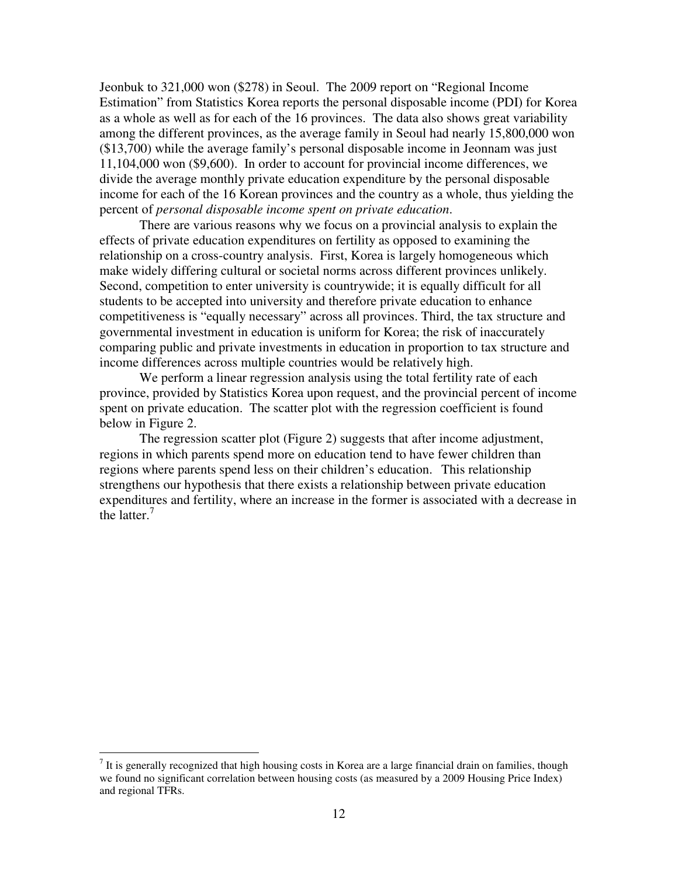Jeonbuk to 321,000 won (\$278) in Seoul. The 2009 report on "Regional Income Estimation" from Statistics Korea reports the personal disposable income (PDI) for Korea as a whole as well as for each of the 16 provinces. The data also shows great variability among the different provinces, as the average family in Seoul had nearly 15,800,000 won (\$13,700) while the average family's personal disposable income in Jeonnam was just 11,104,000 won (\$9,600). In order to account for provincial income differences, we divide the average monthly private education expenditure by the personal disposable income for each of the 16 Korean provinces and the country as a whole, thus yielding the percent of *personal disposable income spent on private education*.

There are various reasons why we focus on a provincial analysis to explain the effects of private education expenditures on fertility as opposed to examining the relationship on a cross-country analysis. First, Korea is largely homogeneous which make widely differing cultural or societal norms across different provinces unlikely. Second, competition to enter university is countrywide; it is equally difficult for all students to be accepted into university and therefore private education to enhance competitiveness is "equally necessary" across all provinces. Third, the tax structure and governmental investment in education is uniform for Korea; the risk of inaccurately comparing public and private investments in education in proportion to tax structure and income differences across multiple countries would be relatively high.

We perform a linear regression analysis using the total fertility rate of each province, provided by Statistics Korea upon request, and the provincial percent of income spent on private education. The scatter plot with the regression coefficient is found below in Figure 2.

The regression scatter plot (Figure 2) suggests that after income adjustment, regions in which parents spend more on education tend to have fewer children than regions where parents spend less on their children's education. This relationship strengthens our hypothesis that there exists a relationship between private education expenditures and fertility, where an increase in the former is associated with a decrease in the latter. $<sup>7</sup>$ </sup>

 $\overline{a}$ 

 $<sup>7</sup>$  It is generally recognized that high housing costs in Korea are a large financial drain on families, though</sup> we found no significant correlation between housing costs (as measured by a 2009 Housing Price Index) and regional TFRs.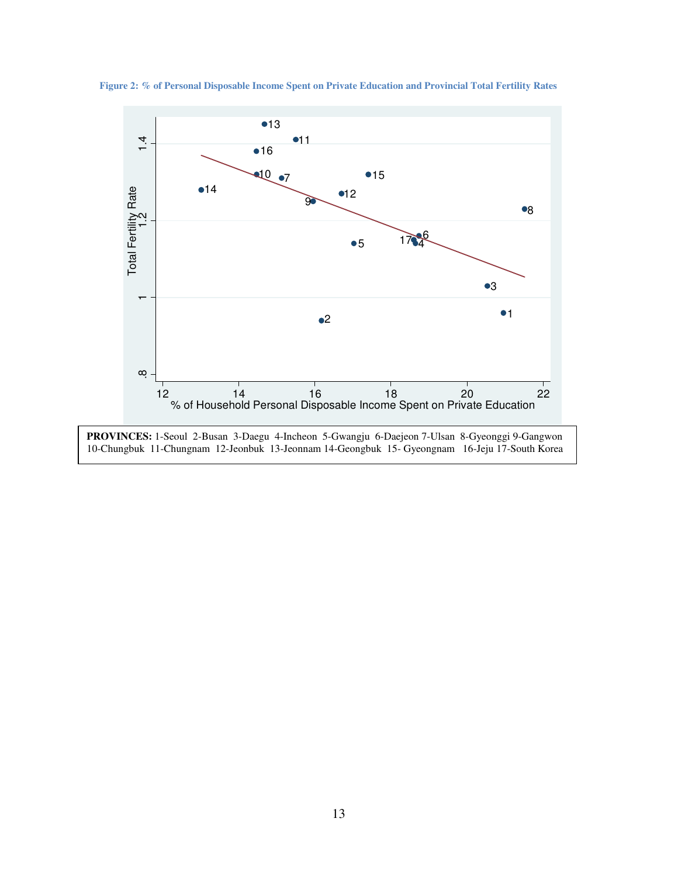

**Figure 2: % of Personal Disposable Income Spent on Private Education and Provincial Total Fertility Rates** 

10-Chungbuk 11-Chungnam 12-Jeonbuk 13-Jeonnam 14-Geongbuk 15- Gyeongnam 16-Jeju 17-South Korea **PROVINCES:** 1-Seoul 2-Busan 3-Daegu 4-Incheon 5-Gwangju 6-Daejeon 7-Ulsan 8-Gyeonggi 9-Gangwon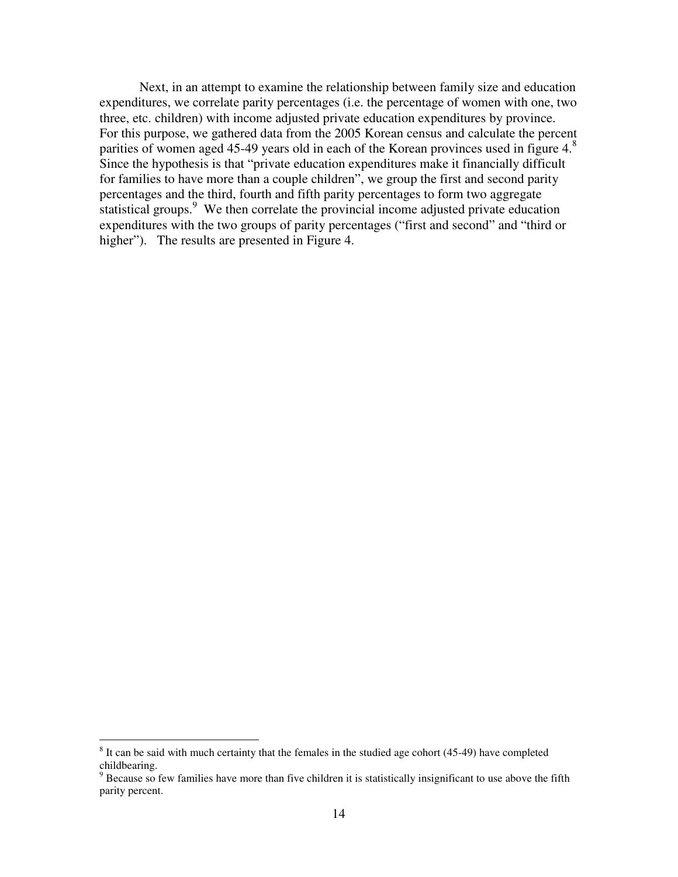Next, in an attempt to examine the relationship between family size and education expenditures, we correlate parity percentages (i.e. the percentage of women with one, two three, etc. children) with income adjusted private education expenditures by province. For this purpose, we gathered data from the 2005 Korean census and calculate the percent parities of women aged 45-49 years old in each of the Korean provinces used in figure 4.<sup>8</sup> Since the hypothesis is that "private education expenditures make it financially difficult for families to have more than a couple children", we group the first and second parity percentages and the third, fourth and fifth parity percentages to form two aggregate statistical groups.<sup>9</sup> We then correlate the provincial income adjusted private education expenditures with the two groups of parity percentages ("first and second" and "third or higher"). The results are presented in Figure 4.

 $\overline{a}$ 

 $8$  It can be said with much certainty that the females in the studied age cohort (45-49) have completed childbearing.<br><sup>9</sup> Because so few families have more than five children it is statistically insignificant to use above the fifth

parity percent.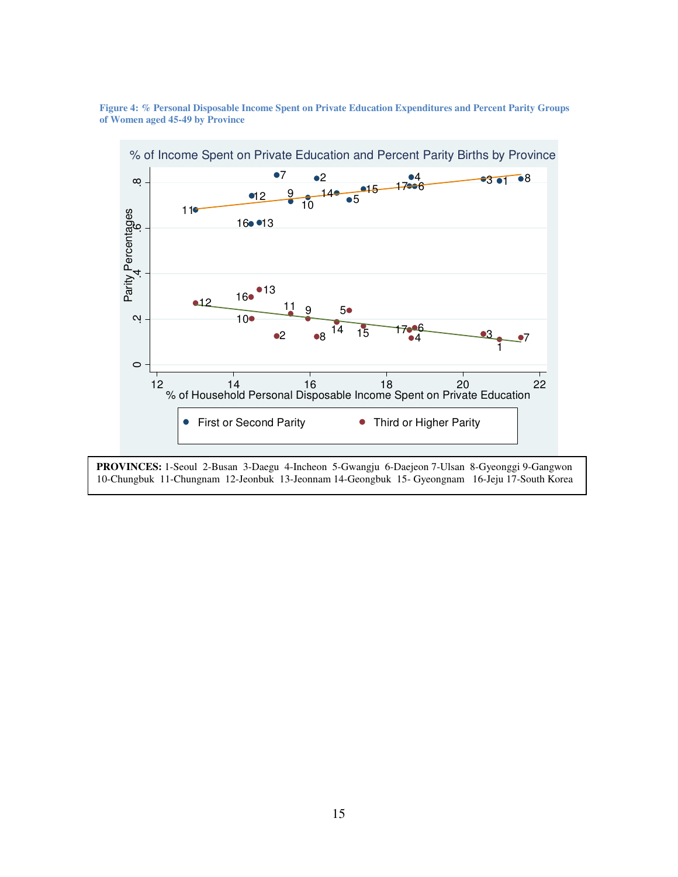**Figure 4: % Personal Disposable Income Spent on Private Education Expenditures and Percent Parity Groups of Women aged 45-49 by Province** 



**Internal Migration and Outliers**  10-Chungbuk 11-Chungnam 12-Jeonbuk 13-Jeonnam 14-Geongbuk 15- Gyeongnam 16-Jeju 17-South Korea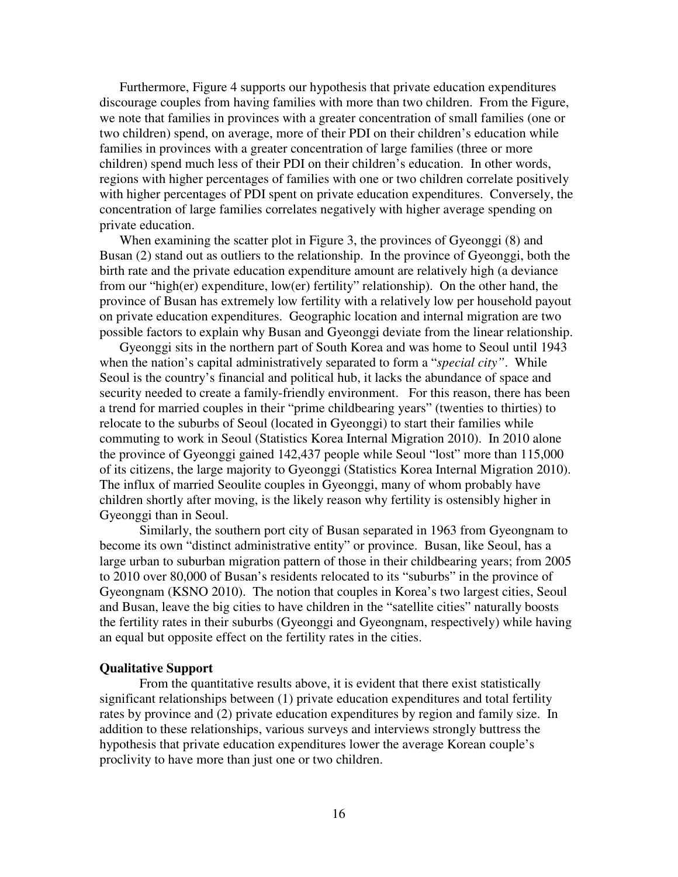Furthermore, Figure 4 supports our hypothesis that private education expenditures discourage couples from having families with more than two children. From the Figure, we note that families in provinces with a greater concentration of small families (one or two children) spend, on average, more of their PDI on their children's education while families in provinces with a greater concentration of large families (three or more children) spend much less of their PDI on their children's education. In other words, regions with higher percentages of families with one or two children correlate positively with higher percentages of PDI spent on private education expenditures. Conversely, the concentration of large families correlates negatively with higher average spending on private education.

When examining the scatter plot in Figure 3, the provinces of Gyeonggi (8) and Busan (2) stand out as outliers to the relationship. In the province of Gyeonggi, both the birth rate and the private education expenditure amount are relatively high (a deviance from our "high(er) expenditure, low(er) fertility" relationship). On the other hand, the province of Busan has extremely low fertility with a relatively low per household payout on private education expenditures. Geographic location and internal migration are two possible factors to explain why Busan and Gyeonggi deviate from the linear relationship.

Gyeonggi sits in the northern part of South Korea and was home to Seoul until 1943 when the nation's capital administratively separated to form a "*special city"*. While Seoul is the country's financial and political hub, it lacks the abundance of space and security needed to create a family-friendly environment. For this reason, there has been a trend for married couples in their "prime childbearing years" (twenties to thirties) to relocate to the suburbs of Seoul (located in Gyeonggi) to start their families while commuting to work in Seoul (Statistics Korea Internal Migration 2010). In 2010 alone the province of Gyeonggi gained 142,437 people while Seoul "lost" more than 115,000 of its citizens, the large majority to Gyeonggi (Statistics Korea Internal Migration 2010). The influx of married Seoulite couples in Gyeonggi, many of whom probably have children shortly after moving, is the likely reason why fertility is ostensibly higher in Gyeonggi than in Seoul.

Similarly, the southern port city of Busan separated in 1963 from Gyeongnam to become its own "distinct administrative entity" or province. Busan, like Seoul, has a large urban to suburban migration pattern of those in their childbearing years; from 2005 to 2010 over 80,000 of Busan's residents relocated to its "suburbs" in the province of Gyeongnam (KSNO 2010). The notion that couples in Korea's two largest cities, Seoul and Busan, leave the big cities to have children in the "satellite cities" naturally boosts the fertility rates in their suburbs (Gyeonggi and Gyeongnam, respectively) while having an equal but opposite effect on the fertility rates in the cities.

#### **Qualitative Support**

 From the quantitative results above, it is evident that there exist statistically significant relationships between (1) private education expenditures and total fertility rates by province and (2) private education expenditures by region and family size. In addition to these relationships, various surveys and interviews strongly buttress the hypothesis that private education expenditures lower the average Korean couple's proclivity to have more than just one or two children.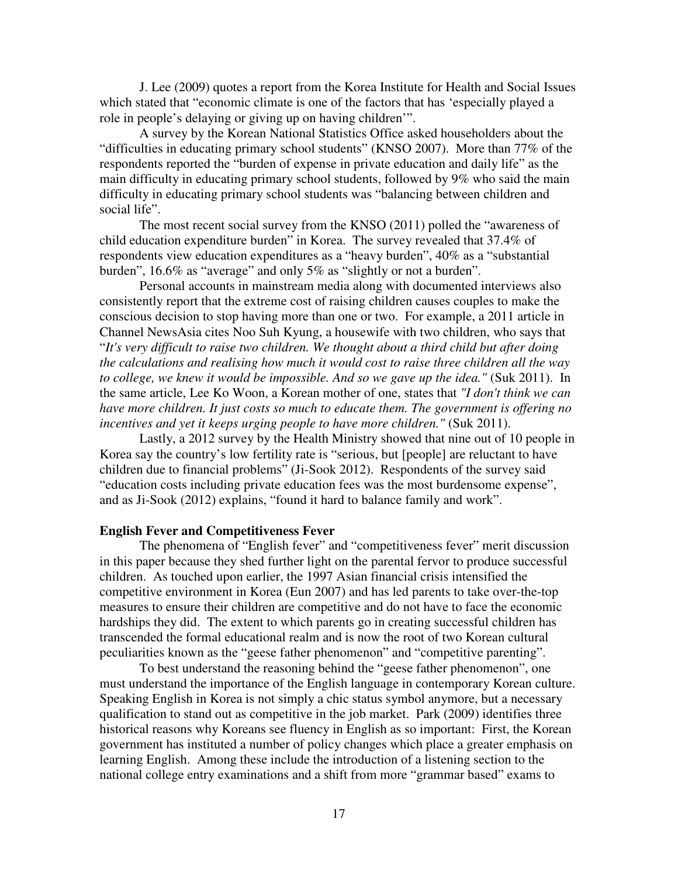J. Lee (2009) quotes a report from the Korea Institute for Health and Social Issues which stated that "economic climate is one of the factors that has 'especially played a role in people's delaying or giving up on having children'".

 A survey by the Korean National Statistics Office asked householders about the "difficulties in educating primary school students" (KNSO 2007). More than 77% of the respondents reported the "burden of expense in private education and daily life" as the main difficulty in educating primary school students, followed by 9% who said the main difficulty in educating primary school students was "balancing between children and social life".

 The most recent social survey from the KNSO (2011) polled the "awareness of child education expenditure burden" in Korea. The survey revealed that 37.4% of respondents view education expenditures as a "heavy burden", 40% as a "substantial burden", 16.6% as "average" and only 5% as "slightly or not a burden".

 Personal accounts in mainstream media along with documented interviews also consistently report that the extreme cost of raising children causes couples to make the conscious decision to stop having more than one or two. For example, a 2011 article in Channel NewsAsia cites Noo Suh Kyung, a housewife with two children, who says that "*It's very difficult to raise two children. We thought about a third child but after doing the calculations and realising how much it would cost to raise three children all the way*  to college, we knew it would be impossible. And so we gave up the idea." (Suk 2011). In the same article, Lee Ko Woon, a Korean mother of one, states that *"I don't think we can have more children. It just costs so much to educate them. The government is offering no incentives and yet it keeps urging people to have more children."* (Suk 2011).

 Lastly, a 2012 survey by the Health Ministry showed that nine out of 10 people in Korea say the country's low fertility rate is "serious, but [people] are reluctant to have children due to financial problems" (Ji-Sook 2012). Respondents of the survey said "education costs including private education fees was the most burdensome expense", and as Ji-Sook (2012) explains, "found it hard to balance family and work".

#### **English Fever and Competitiveness Fever**

The phenomena of "English fever" and "competitiveness fever" merit discussion in this paper because they shed further light on the parental fervor to produce successful children. As touched upon earlier, the 1997 Asian financial crisis intensified the competitive environment in Korea (Eun 2007) and has led parents to take over-the-top measures to ensure their children are competitive and do not have to face the economic hardships they did. The extent to which parents go in creating successful children has transcended the formal educational realm and is now the root of two Korean cultural peculiarities known as the "geese father phenomenon" and "competitive parenting".

To best understand the reasoning behind the "geese father phenomenon", one must understand the importance of the English language in contemporary Korean culture. Speaking English in Korea is not simply a chic status symbol anymore, but a necessary qualification to stand out as competitive in the job market. Park (2009) identifies three historical reasons why Koreans see fluency in English as so important: First, the Korean government has instituted a number of policy changes which place a greater emphasis on learning English. Among these include the introduction of a listening section to the national college entry examinations and a shift from more "grammar based" exams to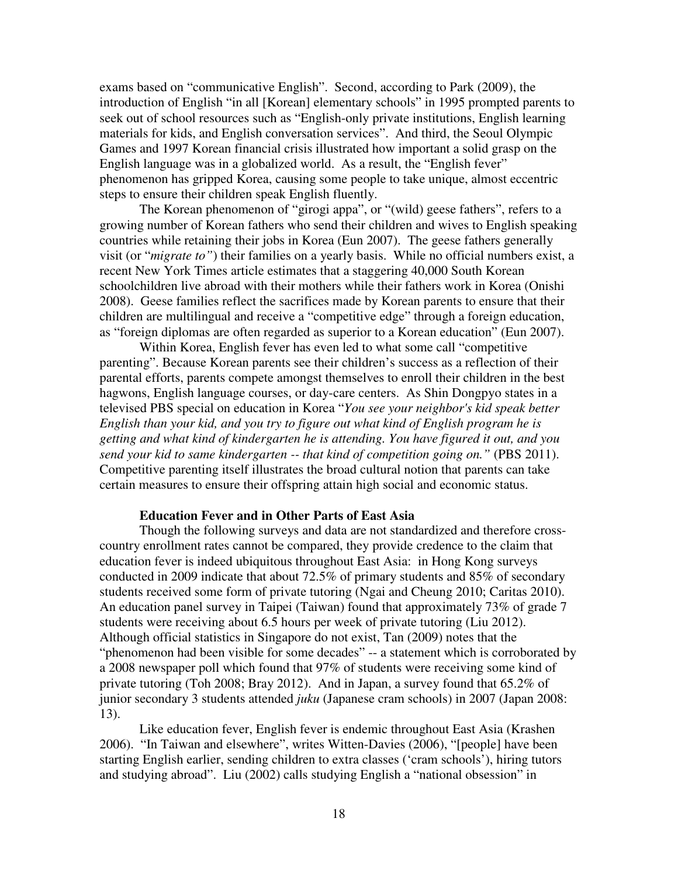exams based on "communicative English". Second, according to Park (2009), the introduction of English "in all [Korean] elementary schools" in 1995 prompted parents to seek out of school resources such as "English-only private institutions, English learning materials for kids, and English conversation services". And third, the Seoul Olympic Games and 1997 Korean financial crisis illustrated how important a solid grasp on the English language was in a globalized world. As a result, the "English fever" phenomenon has gripped Korea, causing some people to take unique, almost eccentric steps to ensure their children speak English fluently.

The Korean phenomenon of "girogi appa", or "(wild) geese fathers", refers to a growing number of Korean fathers who send their children and wives to English speaking countries while retaining their jobs in Korea (Eun 2007). The geese fathers generally visit (or "*migrate to"*) their families on a yearly basis. While no official numbers exist, a recent New York Times article estimates that a staggering 40,000 South Korean schoolchildren live abroad with their mothers while their fathers work in Korea (Onishi 2008). Geese families reflect the sacrifices made by Korean parents to ensure that their children are multilingual and receive a "competitive edge" through a foreign education, as "foreign diplomas are often regarded as superior to a Korean education" (Eun 2007).

Within Korea, English fever has even led to what some call "competitive parenting". Because Korean parents see their children's success as a reflection of their parental efforts, parents compete amongst themselves to enroll their children in the best hagwons, English language courses, or day-care centers. As Shin Dongpyo states in a televised PBS special on education in Korea "*You see your neighbor's kid speak better English than your kid, and you try to figure out what kind of English program he is getting and what kind of kindergarten he is attending. You have figured it out, and you send your kid to same kindergarten -- that kind of competition going on."* (PBS 2011). Competitive parenting itself illustrates the broad cultural notion that parents can take certain measures to ensure their offspring attain high social and economic status.

#### **Education Fever and in Other Parts of East Asia**

Though the following surveys and data are not standardized and therefore crosscountry enrollment rates cannot be compared, they provide credence to the claim that education fever is indeed ubiquitous throughout East Asia: in Hong Kong surveys conducted in 2009 indicate that about 72.5% of primary students and 85% of secondary students received some form of private tutoring (Ngai and Cheung 2010; Caritas 2010). An education panel survey in Taipei (Taiwan) found that approximately 73% of grade 7 students were receiving about 6.5 hours per week of private tutoring (Liu 2012). Although official statistics in Singapore do not exist, Tan (2009) notes that the "phenomenon had been visible for some decades" -- a statement which is corroborated by a 2008 newspaper poll which found that 97% of students were receiving some kind of private tutoring (Toh 2008; Bray 2012). And in Japan, a survey found that 65.2% of junior secondary 3 students attended *juku* (Japanese cram schools) in 2007 (Japan 2008: 13).

Like education fever, English fever is endemic throughout East Asia (Krashen 2006). "In Taiwan and elsewhere", writes Witten-Davies (2006), "[people] have been starting English earlier, sending children to extra classes ('cram schools'), hiring tutors and studying abroad". Liu (2002) calls studying English a "national obsession" in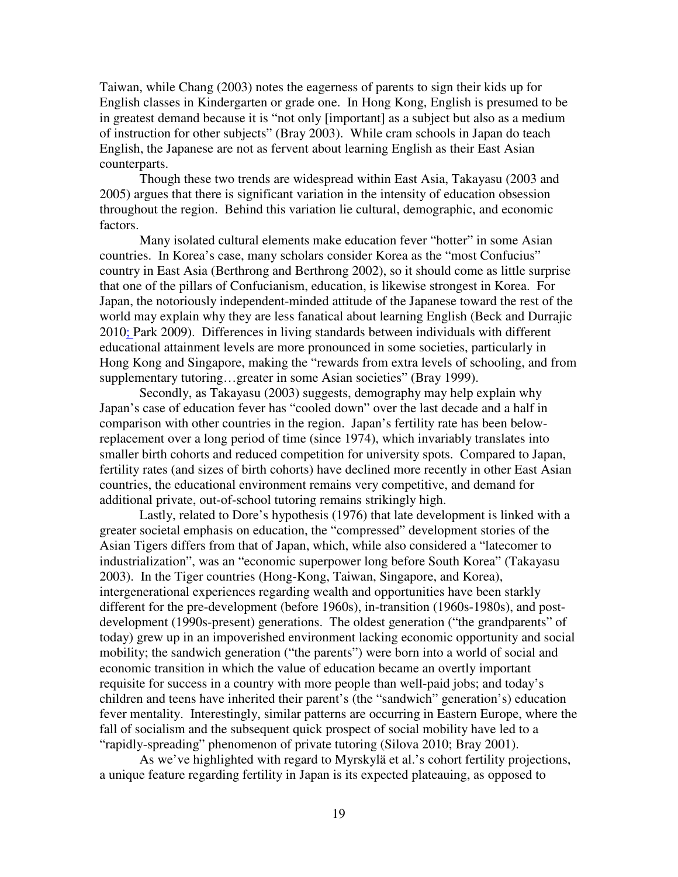Taiwan, while Chang (2003) notes the eagerness of parents to sign their kids up for English classes in Kindergarten or grade one. In Hong Kong, English is presumed to be in greatest demand because it is "not only [important] as a subject but also as a medium of instruction for other subjects" (Bray 2003). While cram schools in Japan do teach English, the Japanese are not as fervent about learning English as their East Asian counterparts.

Though these two trends are widespread within East Asia, Takayasu (2003 and 2005) argues that there is significant variation in the intensity of education obsession throughout the region. Behind this variation lie cultural, demographic, and economic factors.

Many isolated cultural elements make education fever "hotter" in some Asian countries. In Korea's case, many scholars consider Korea as the "most Confucius" country in East Asia (Berthrong and Berthrong 2002), so it should come as little surprise that one of the pillars of Confucianism, education, is likewise strongest in Korea. For Japan, the notoriously independent-minded attitude of the Japanese toward the rest of the world may explain why they are less fanatical about learning English (Beck and Durrajic 2010; Park 2009). Differences in living standards between individuals with different educational attainment levels are more pronounced in some societies, particularly in Hong Kong and Singapore, making the "rewards from extra levels of schooling, and from supplementary tutoring…greater in some Asian societies" (Bray 1999).

Secondly, as Takayasu (2003) suggests, demography may help explain why Japan's case of education fever has "cooled down" over the last decade and a half in comparison with other countries in the region. Japan's fertility rate has been belowreplacement over a long period of time (since 1974), which invariably translates into smaller birth cohorts and reduced competition for university spots. Compared to Japan, fertility rates (and sizes of birth cohorts) have declined more recently in other East Asian countries, the educational environment remains very competitive, and demand for additional private, out-of-school tutoring remains strikingly high.

Lastly, related to Dore's hypothesis (1976) that late development is linked with a greater societal emphasis on education, the "compressed" development stories of the Asian Tigers differs from that of Japan, which, while also considered a "latecomer to industrialization", was an "economic superpower long before South Korea" (Takayasu 2003). In the Tiger countries (Hong-Kong, Taiwan, Singapore, and Korea), intergenerational experiences regarding wealth and opportunities have been starkly different for the pre-development (before 1960s), in-transition (1960s-1980s), and postdevelopment (1990s-present) generations. The oldest generation ("the grandparents" of today) grew up in an impoverished environment lacking economic opportunity and social mobility; the sandwich generation ("the parents") were born into a world of social and economic transition in which the value of education became an overtly important requisite for success in a country with more people than well-paid jobs; and today's children and teens have inherited their parent's (the "sandwich" generation's) education fever mentality. Interestingly, similar patterns are occurring in Eastern Europe, where the fall of socialism and the subsequent quick prospect of social mobility have led to a "rapidly-spreading" phenomenon of private tutoring (Silova 2010; Bray 2001).

As we've highlighted with regard to Myrskylä et al.'s cohort fertility projections, a unique feature regarding fertility in Japan is its expected plateauing, as opposed to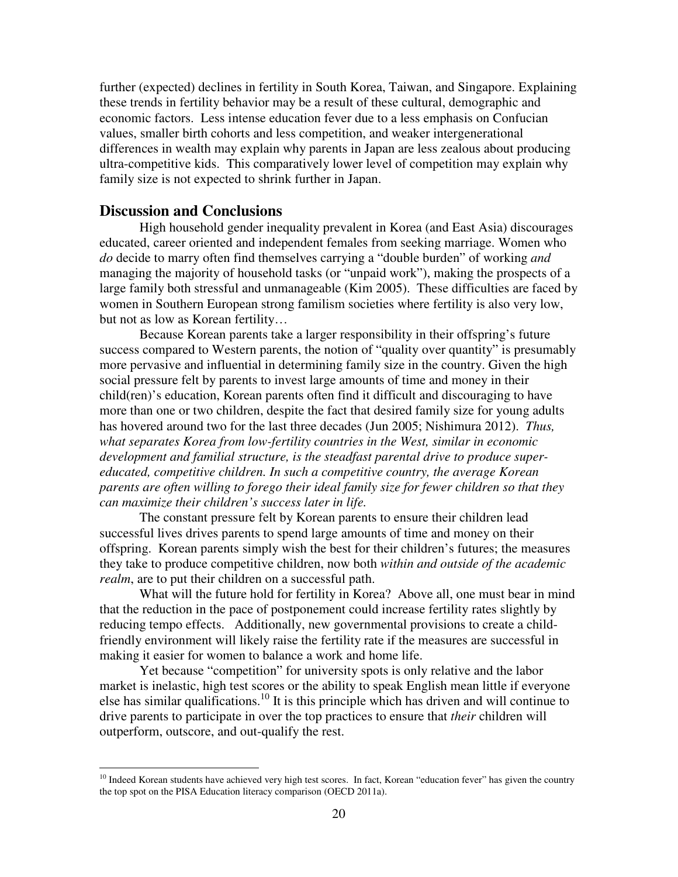further (expected) declines in fertility in South Korea, Taiwan, and Singapore. Explaining these trends in fertility behavior may be a result of these cultural, demographic and economic factors. Less intense education fever due to a less emphasis on Confucian values, smaller birth cohorts and less competition, and weaker intergenerational differences in wealth may explain why parents in Japan are less zealous about producing ultra-competitive kids. This comparatively lower level of competition may explain why family size is not expected to shrink further in Japan.

#### **Discussion and Conclusions**

 $\overline{a}$ 

 High household gender inequality prevalent in Korea (and East Asia) discourages educated, career oriented and independent females from seeking marriage. Women who *do* decide to marry often find themselves carrying a "double burden" of working *and* managing the majority of household tasks (or "unpaid work"), making the prospects of a large family both stressful and unmanageable (Kim 2005). These difficulties are faced by women in Southern European strong familism societies where fertility is also very low, but not as low as Korean fertility…

Because Korean parents take a larger responsibility in their offspring's future success compared to Western parents, the notion of "quality over quantity" is presumably more pervasive and influential in determining family size in the country. Given the high social pressure felt by parents to invest large amounts of time and money in their child(ren)'s education, Korean parents often find it difficult and discouraging to have more than one or two children, despite the fact that desired family size for young adults has hovered around two for the last three decades (Jun 2005; Nishimura 2012). *Thus, what separates Korea from low-fertility countries in the West, similar in economic development and familial structure, is the steadfast parental drive to produce supereducated, competitive children. In such a competitive country, the average Korean parents are often willing to forego their ideal family size for fewer children so that they can maximize their children's success later in life.* 

The constant pressure felt by Korean parents to ensure their children lead successful lives drives parents to spend large amounts of time and money on their offspring. Korean parents simply wish the best for their children's futures; the measures they take to produce competitive children, now both *within and outside of the academic realm*, are to put their children on a successful path.

 What will the future hold for fertility in Korea? Above all, one must bear in mind that the reduction in the pace of postponement could increase fertility rates slightly by reducing tempo effects. Additionally, new governmental provisions to create a childfriendly environment will likely raise the fertility rate if the measures are successful in making it easier for women to balance a work and home life.

Yet because "competition" for university spots is only relative and the labor market is inelastic, high test scores or the ability to speak English mean little if everyone else has similar qualifications.<sup>10</sup> It is this principle which has driven and will continue to drive parents to participate in over the top practices to ensure that *their* children will outperform, outscore, and out-qualify the rest.

<sup>&</sup>lt;sup>10</sup> Indeed Korean students have achieved very high test scores. In fact, Korean "education fever" has given the country the top spot on the PISA Education literacy comparison (OECD 2011a).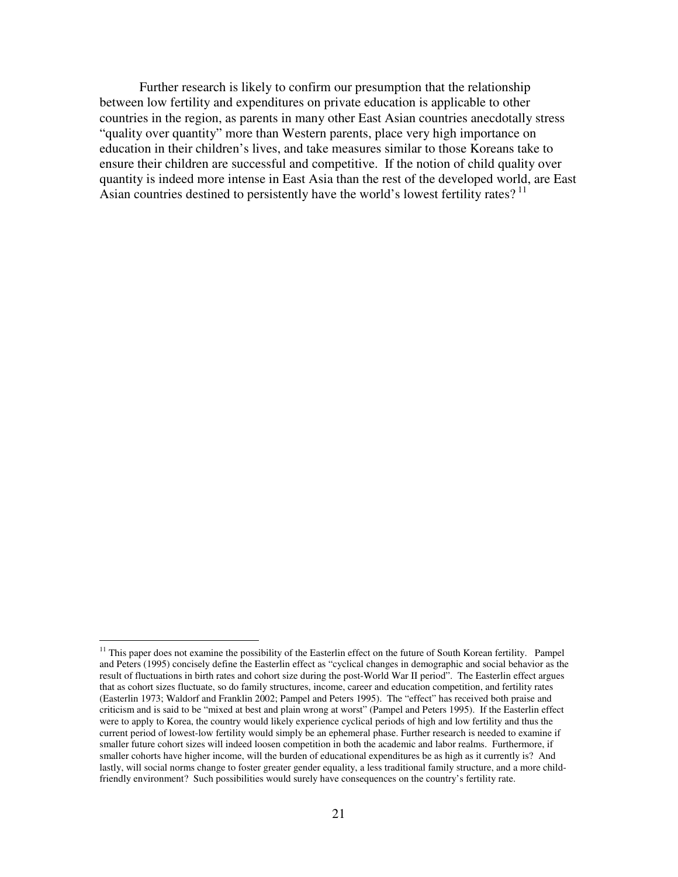Further research is likely to confirm our presumption that the relationship between low fertility and expenditures on private education is applicable to other countries in the region, as parents in many other East Asian countries anecdotally stress "quality over quantity" more than Western parents, place very high importance on education in their children's lives, and take measures similar to those Koreans take to ensure their children are successful and competitive. If the notion of child quality over quantity is indeed more intense in East Asia than the rest of the developed world, are East Asian countries destined to persistently have the world's lowest fertility rates?<sup>11</sup>

 $\overline{a}$ <sup>11</sup> This paper does not examine the possibility of the Easterlin effect on the future of South Korean fertility. Pampel and Peters (1995) concisely define the Easterlin effect as "cyclical changes in demographic and social behavior as the result of fluctuations in birth rates and cohort size during the post-World War II period". The Easterlin effect argues that as cohort sizes fluctuate, so do family structures, income, career and education competition, and fertility rates (Easterlin 1973; Waldorf and Franklin 2002; Pampel and Peters 1995). The "effect" has received both praise and criticism and is said to be "mixed at best and plain wrong at worst" (Pampel and Peters 1995). If the Easterlin effect were to apply to Korea, the country would likely experience cyclical periods of high and low fertility and thus the current period of lowest-low fertility would simply be an ephemeral phase. Further research is needed to examine if smaller future cohort sizes will indeed loosen competition in both the academic and labor realms. Furthermore, if smaller cohorts have higher income, will the burden of educational expenditures be as high as it currently is? And lastly, will social norms change to foster greater gender equality, a less traditional family structure, and a more childfriendly environment? Such possibilities would surely have consequences on the country's fertility rate.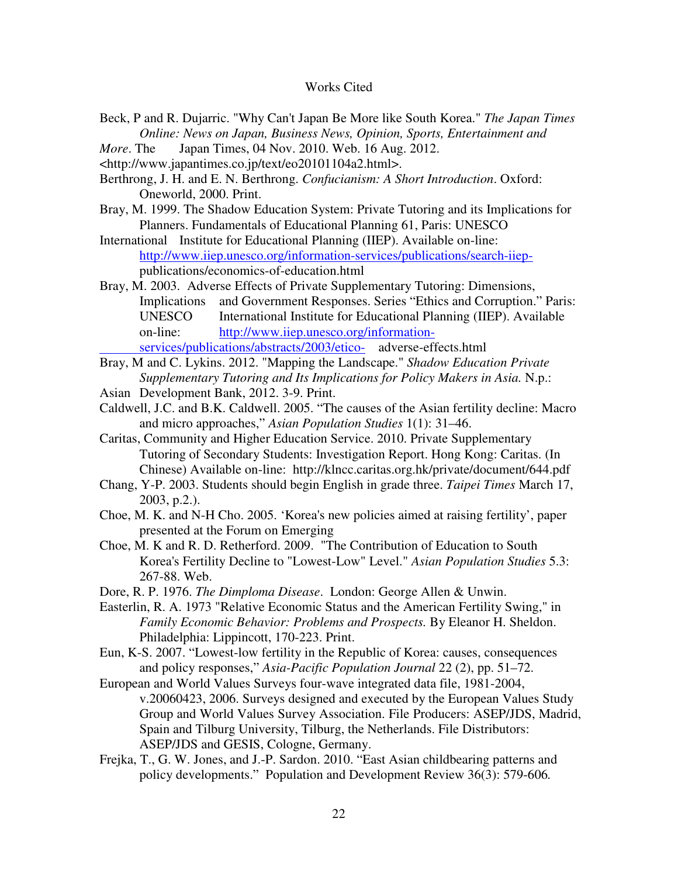#### Works Cited

- Beck, P and R. Dujarric. "Why Can't Japan Be More like South Korea." *The Japan Times Online: News on Japan, Business News, Opinion, Sports, Entertainment and*
- *More*. The Japan Times, 04 Nov. 2010. Web. 16 Aug. 2012.
- <http://www.japantimes.co.jp/text/eo20101104a2.html>.
- Berthrong, J. H. and E. N. Berthrong. *Confucianism: A Short Introduction*. Oxford: Oneworld, 2000. Print.
- Bray, M. 1999. The Shadow Education System: Private Tutoring and its Implications for Planners. Fundamentals of Educational Planning 61, Paris: UNESCO
- International Institute for Educational Planning (IIEP). Available on-line: http://www.iiep.unesco.org/information-services/publications/search-iiep publications/economics-of-education.html
- Bray, M. 2003. Adverse Effects of Private Supplementary Tutoring: Dimensions, Implications and Government Responses. Series "Ethics and Corruption." Paris: UNESCO International Institute for Educational Planning (IIEP). Available on-line: http://www.iiep.unesco.org/information services/publications/abstracts/2003/etico- adverse-effects.html

Bray, M and C. Lykins. 2012. "Mapping the Landscape." *Shadow Education Private Supplementary Tutoring and Its Implications for Policy Makers in Asia.* N.p.:

- Asian Development Bank, 2012. 3-9. Print.
- Caldwell, J.C. and B.K. Caldwell. 2005. "The causes of the Asian fertility decline: Macro and micro approaches," *Asian Population Studies* 1(1): 31–46.
- Caritas, Community and Higher Education Service. 2010. Private Supplementary Tutoring of Secondary Students: Investigation Report. Hong Kong: Caritas. (In Chinese) Available on-line: http://klncc.caritas.org.hk/private/document/644.pdf
- Chang, Y-P. 2003. Students should begin English in grade three. *Taipei Times* March 17, 2003, p.2.).
- Choe, M. K. and N-H Cho. 2005. 'Korea's new policies aimed at raising fertility', paper presented at the Forum on Emerging
- Choe, M. K and R. D. Retherford. 2009. "The Contribution of Education to South Korea's Fertility Decline to "Lowest-Low" Level." *Asian Population Studies* 5.3: 267-88. Web.
- Dore, R. P. 1976. *The Dimploma Disease*. London: George Allen & Unwin.
- Easterlin, R. A. 1973 "Relative Economic Status and the American Fertility Swing," in *Family Economic Behavior: Problems and Prospects.* By Eleanor H. Sheldon. Philadelphia: Lippincott, 170-223. Print.
- Eun, K-S. 2007. "Lowest-low fertility in the Republic of Korea: causes, consequences and policy responses," *Asia-Pacific Population Journal* 22 (2), pp. 51–72.
- European and World Values Surveys four-wave integrated data file, 1981-2004, v.20060423, 2006. Surveys designed and executed by the European Values Study Group and World Values Survey Association. File Producers: ASEP/JDS, Madrid, Spain and Tilburg University, Tilburg, the Netherlands. File Distributors: ASEP/JDS and GESIS, Cologne, Germany.
- Frejka, T., G. W. Jones, and J.-P. Sardon. 2010. "East Asian childbearing patterns and policy developments." Population and Development Review 36(3): 579-606*.*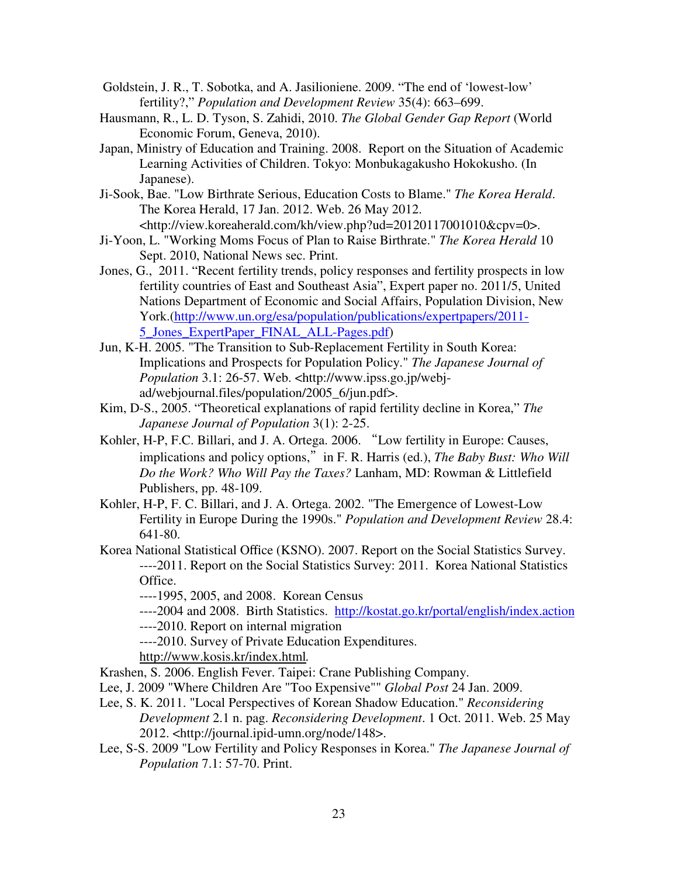- Goldstein, J. R., T. Sobotka, and A. Jasilioniene. 2009. "The end of 'lowest-low' fertility?," *Population and Development Review* 35(4): 663–699.
- Hausmann, R., L. D. Tyson, S. Zahidi, 2010. *The Global Gender Gap Report* (World Economic Forum, Geneva, 2010).
- Japan, Ministry of Education and Training. 2008. Report on the Situation of Academic Learning Activities of Children. Tokyo: Monbukagakusho Hokokusho. (In Japanese).
- Ji-Sook, Bae. "Low Birthrate Serious, Education Costs to Blame." *The Korea Herald*. The Korea Herald, 17 Jan. 2012. Web. 26 May 2012. <http://view.koreaherald.com/kh/view.php?ud=20120117001010&cpv=0>.
- Ji-Yoon, L. "Working Moms Focus of Plan to Raise Birthrate." *The Korea Herald* 10 Sept. 2010, National News sec. Print.
- Jones, G., 2011. "Recent fertility trends, policy responses and fertility prospects in low fertility countries of East and Southeast Asia", Expert paper no. 2011/5, United Nations Department of Economic and Social Affairs, Population Division, New York.(http://www.un.org/esa/population/publications/expertpapers/2011- 5\_Jones\_ExpertPaper\_FINAL\_ALL-Pages.pdf)
- Jun, K-H. 2005. "The Transition to Sub-Replacement Fertility in South Korea: Implications and Prospects for Population Policy." *The Japanese Journal of Population* 3.1: 26-57. Web. <http://www.ipss.go.jp/webjad/webjournal.files/population/2005\_6/jun.pdf>.
- Kim, D-S., 2005. "Theoretical explanations of rapid fertility decline in Korea," *The Japanese Journal of Population* 3(1): 2-25.
- Kohler, H-P, F.C. Billari, and J. A. Ortega. 2006. "Low fertility in Europe: Causes, implications and policy options," in F. R. Harris (ed.), *The Baby Bust: Who Will Do the Work? Who Will Pay the Taxes?* Lanham, MD: Rowman & Littlefield Publishers, pp. 48-109.
- Kohler, H-P, F. C. Billari, and J. A. Ortega. 2002. "The Emergence of Lowest-Low Fertility in Europe During the 1990s." *Population and Development Review* 28.4: 641-80.
- Korea National Statistical Office (KSNO). 2007. Report on the Social Statistics Survey. ----2011. Report on the Social Statistics Survey: 2011. Korea National Statistics Office.
	- ----1995, 2005, and 2008. Korean Census
	- ----2004 and 2008. Birth Statistics. http://kostat.go.kr/portal/english/index.action
	- ----2010. Report on internal migration
	- ----2010. Survey of Private Education Expenditures.
	- http://www.kosis.kr/index.html*.*
- Krashen, S. 2006. English Fever. Taipei: Crane Publishing Company.
- Lee, J. 2009 "Where Children Are "Too Expensive"" *Global Post* 24 Jan. 2009.
- Lee, S. K. 2011. "Local Perspectives of Korean Shadow Education." *Reconsidering Development* 2.1 n. pag. *Reconsidering Development*. 1 Oct. 2011. Web. 25 May 2012. <http://journal.ipid-umn.org/node/148>.
- Lee, S-S. 2009 "Low Fertility and Policy Responses in Korea." *The Japanese Journal of Population* 7.1: 57-70. Print.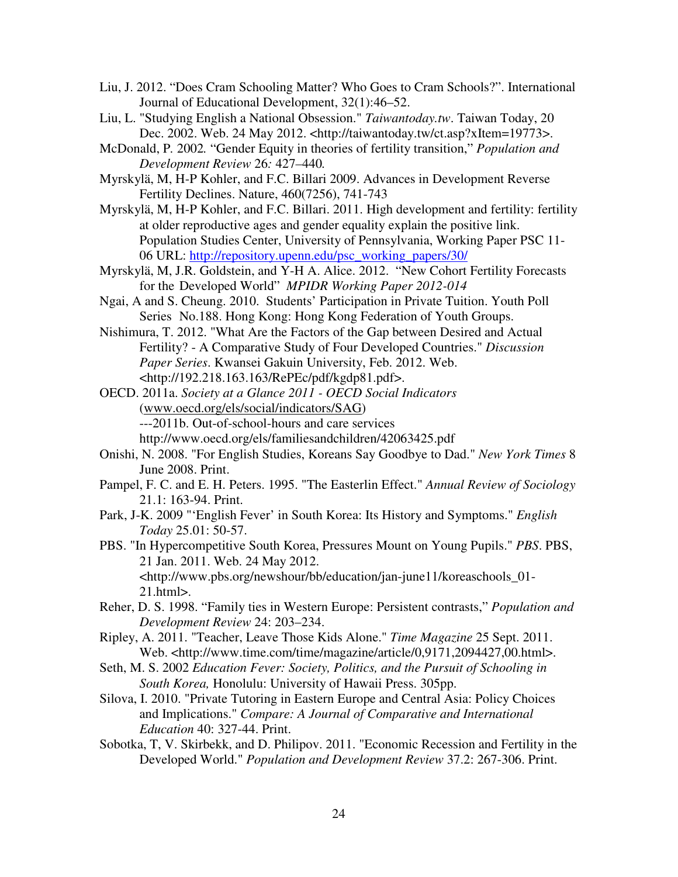- Liu, J. 2012. "Does Cram Schooling Matter? Who Goes to Cram Schools?". International Journal of Educational Development, 32(1):46–52.
- Liu, L. "Studying English a National Obsession." *Taiwantoday.tw*. Taiwan Today, 20 Dec. 2002. Web. 24 May 2012. <http://taiwantoday.tw/ct.asp?xItem=19773>.
- McDonald, P*.* 2002*.* "Gender Equity in theories of fertility transition," *Population and Development Review* 26*:* 427*–*440*.*
- Myrskylä, M, H-P Kohler, and F.C. Billari 2009. Advances in Development Reverse Fertility Declines. Nature, 460(7256), 741-743
- Myrskylä, M, H-P Kohler, and F.C. Billari. 2011. High development and fertility: fertility at older reproductive ages and gender equality explain the positive link. Population Studies Center, University of Pennsylvania, Working Paper PSC 11- 06 URL: http://repository.upenn.edu/psc\_working\_papers/30/
- Myrskylä, M, J.R. Goldstein, and Y-H A. Alice. 2012. "New Cohort Fertility Forecasts for the Developed World" *MPIDR Working Paper 2012-014*
- Ngai, A and S. Cheung. 2010. Students' Participation in Private Tuition. Youth Poll Series No.188. Hong Kong: Hong Kong Federation of Youth Groups.
- Nishimura, T. 2012. "What Are the Factors of the Gap between Desired and Actual Fertility? - A Comparative Study of Four Developed Countries." *Discussion Paper Series*. Kwansei Gakuin University, Feb. 2012. Web. <http://192.218.163.163/RePEc/pdf/kgdp81.pdf>.
- OECD. 2011a. *Society at a Glance 2011 OECD Social Indicators* (www.oecd.org/els/social/indicators/SAG) ---2011b. Out-of-school-hours and care services
	- http://www.oecd.org/els/familiesandchildren/42063425.pdf
- Onishi, N. 2008. "For English Studies, Koreans Say Goodbye to Dad." *New York Times* 8 June 2008. Print.
- Pampel, F. C. and E. H. Peters. 1995. "The Easterlin Effect." *Annual Review of Sociology* 21.1: 163-94. Print.
- Park, J-K. 2009 "'English Fever' in South Korea: Its History and Symptoms." *English Today* 25.01: 50-57.
- PBS. "In Hypercompetitive South Korea, Pressures Mount on Young Pupils." *PBS*. PBS, 21 Jan. 2011. Web. 24 May 2012. <http://www.pbs.org/newshour/bb/education/jan-june11/koreaschools\_01- 21.html>.
- Reher, D. S. 1998. "Family ties in Western Europe: Persistent contrasts," *Population and Development Review* 24: 203–234.
- Ripley, A. 2011. "Teacher, Leave Those Kids Alone." *Time Magazine* 25 Sept. 2011. Web. <http://www.time.com/time/magazine/article/0,9171,2094427,00.html>.
- Seth, M. S. 2002 *Education Fever: Society, Politics, and the Pursuit of Schooling in South Korea,* Honolulu: University of Hawaii Press. 305pp.
- Silova, I. 2010. "Private Tutoring in Eastern Europe and Central Asia: Policy Choices and Implications." *Compare: A Journal of Comparative and International Education* 40: 327-44. Print.
- Sobotka, T, V. Skirbekk, and D. Philipov. 2011. "Economic Recession and Fertility in the Developed World." *Population and Development Review* 37.2: 267-306. Print.